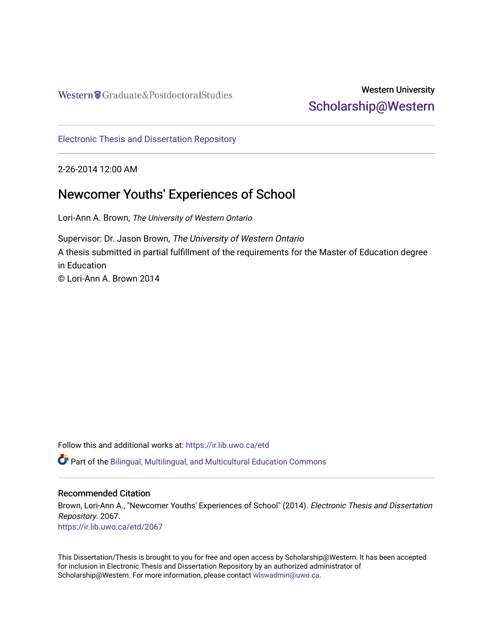Western Craduate&PostdoctoralStudies

# Western University [Scholarship@Western](https://ir.lib.uwo.ca/)

[Electronic Thesis and Dissertation Repository](https://ir.lib.uwo.ca/etd)

2-26-2014 12:00 AM

# Newcomer Youths' Experiences of School

Lori-Ann A. Brown, The University of Western Ontario

Supervisor: Dr. Jason Brown, The University of Western Ontario A thesis submitted in partial fulfillment of the requirements for the Master of Education degree in Education © Lori-Ann A. Brown 2014

Follow this and additional works at: [https://ir.lib.uwo.ca/etd](https://ir.lib.uwo.ca/etd?utm_source=ir.lib.uwo.ca%2Fetd%2F2067&utm_medium=PDF&utm_campaign=PDFCoverPages) 

Part of the [Bilingual, Multilingual, and Multicultural Education Commons](http://network.bepress.com/hgg/discipline/785?utm_source=ir.lib.uwo.ca%2Fetd%2F2067&utm_medium=PDF&utm_campaign=PDFCoverPages) 

# Recommended Citation

Brown, Lori-Ann A., "Newcomer Youths' Experiences of School" (2014). Electronic Thesis and Dissertation Repository. 2067. [https://ir.lib.uwo.ca/etd/2067](https://ir.lib.uwo.ca/etd/2067?utm_source=ir.lib.uwo.ca%2Fetd%2F2067&utm_medium=PDF&utm_campaign=PDFCoverPages)

This Dissertation/Thesis is brought to you for free and open access by Scholarship@Western. It has been accepted for inclusion in Electronic Thesis and Dissertation Repository by an authorized administrator of Scholarship@Western. For more information, please contact [wlswadmin@uwo.ca.](mailto:wlswadmin@uwo.ca)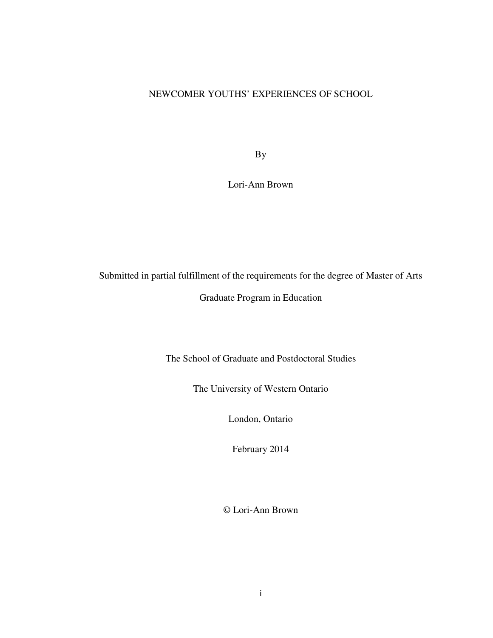# NEWCOMER YOUTHS' EXPERIENCES OF SCHOOL

By

Lori-Ann Brown

Submitted in partial fulfillment of the requirements for the degree of Master of Arts

Graduate Program in Education

The School of Graduate and Postdoctoral Studies

The University of Western Ontario

London, Ontario

February 2014

© Lori-Ann Brown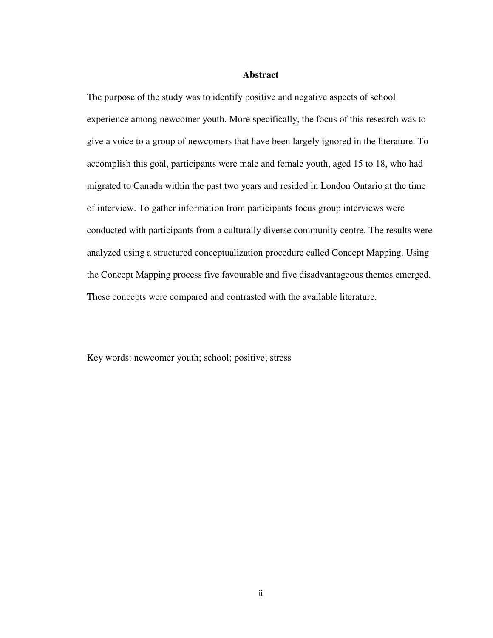## **Abstract**

The purpose of the study was to identify positive and negative aspects of school experience among newcomer youth. More specifically, the focus of this research was to give a voice to a group of newcomers that have been largely ignored in the literature. To accomplish this goal, participants were male and female youth, aged 15 to 18, who had migrated to Canada within the past two years and resided in London Ontario at the time of interview. To gather information from participants focus group interviews were conducted with participants from a culturally diverse community centre. The results were analyzed using a structured conceptualization procedure called Concept Mapping. Using the Concept Mapping process five favourable and five disadvantageous themes emerged. These concepts were compared and contrasted with the available literature.

Key words: newcomer youth; school; positive; stress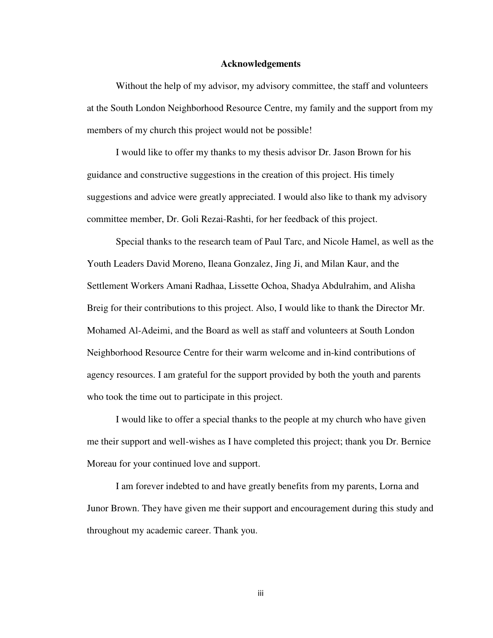#### **Acknowledgements**

Without the help of my advisor, my advisory committee, the staff and volunteers at the South London Neighborhood Resource Centre, my family and the support from my members of my church this project would not be possible!

I would like to offer my thanks to my thesis advisor Dr. Jason Brown for his guidance and constructive suggestions in the creation of this project. His timely suggestions and advice were greatly appreciated. I would also like to thank my advisory committee member, Dr. Goli Rezai-Rashti, for her feedback of this project.

Special thanks to the research team of Paul Tarc, and Nicole Hamel, as well as the Youth Leaders David Moreno, Ileana Gonzalez, Jing Ji, and Milan Kaur, and the Settlement Workers Amani Radhaa, Lissette Ochoa, Shadya Abdulrahim, and Alisha Breig for their contributions to this project. Also, I would like to thank the Director Mr. Mohamed Al-Adeimi, and the Board as well as staff and volunteers at South London Neighborhood Resource Centre for their warm welcome and in-kind contributions of agency resources. I am grateful for the support provided by both the youth and parents who took the time out to participate in this project.

I would like to offer a special thanks to the people at my church who have given me their support and well-wishes as I have completed this project; thank you Dr. Bernice Moreau for your continued love and support.

I am forever indebted to and have greatly benefits from my parents, Lorna and Junor Brown. They have given me their support and encouragement during this study and throughout my academic career. Thank you.

iii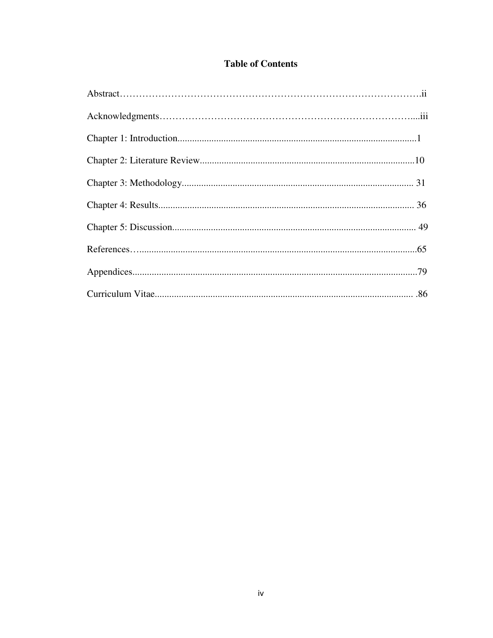# **Table of Contents**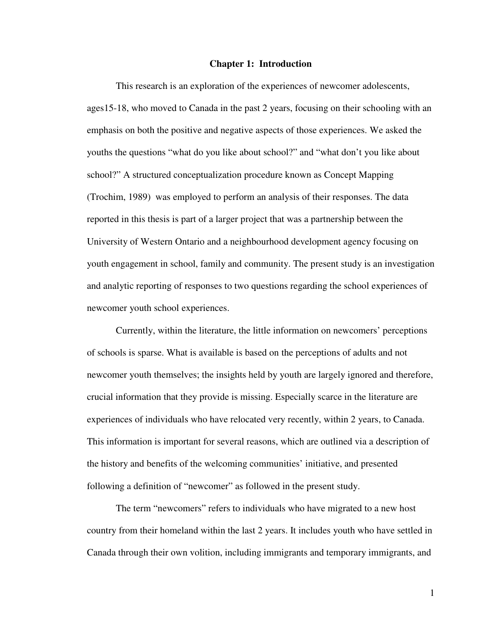## **Chapter 1: Introduction**

This research is an exploration of the experiences of newcomer adolescents, ages15-18, who moved to Canada in the past 2 years, focusing on their schooling with an emphasis on both the positive and negative aspects of those experiences. We asked the youths the questions "what do you like about school?" and "what don't you like about school?" A structured conceptualization procedure known as Concept Mapping (Trochim, 1989) was employed to perform an analysis of their responses. The data reported in this thesis is part of a larger project that was a partnership between the University of Western Ontario and a neighbourhood development agency focusing on youth engagement in school, family and community. The present study is an investigation and analytic reporting of responses to two questions regarding the school experiences of newcomer youth school experiences.

Currently, within the literature, the little information on newcomers' perceptions of schools is sparse. What is available is based on the perceptions of adults and not newcomer youth themselves; the insights held by youth are largely ignored and therefore, crucial information that they provide is missing. Especially scarce in the literature are experiences of individuals who have relocated very recently, within 2 years, to Canada. This information is important for several reasons, which are outlined via a description of the history and benefits of the welcoming communities' initiative, and presented following a definition of "newcomer" as followed in the present study.

The term "newcomers" refers to individuals who have migrated to a new host country from their homeland within the last 2 years. It includes youth who have settled in Canada through their own volition, including immigrants and temporary immigrants, and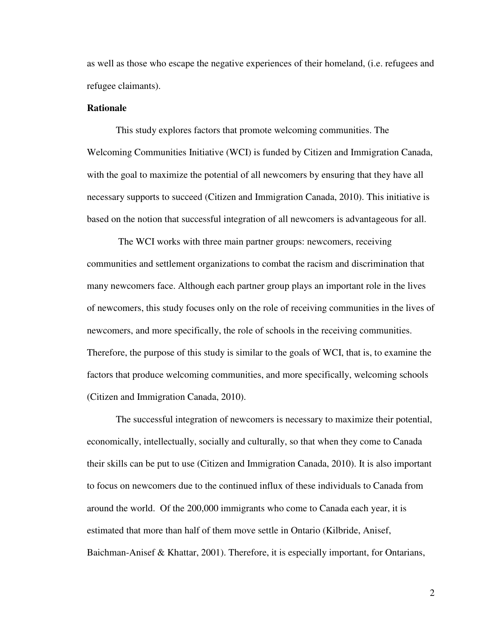as well as those who escape the negative experiences of their homeland, (i.e. refugees and refugee claimants).

# **Rationale**

 This study explores factors that promote welcoming communities. The Welcoming Communities Initiative (WCI) is funded by Citizen and Immigration Canada, with the goal to maximize the potential of all newcomers by ensuring that they have all necessary supports to succeed (Citizen and Immigration Canada, 2010). This initiative is based on the notion that successful integration of all newcomers is advantageous for all.

 The WCI works with three main partner groups: newcomers, receiving communities and settlement organizations to combat the racism and discrimination that many newcomers face. Although each partner group plays an important role in the lives of newcomers, this study focuses only on the role of receiving communities in the lives of newcomers, and more specifically, the role of schools in the receiving communities. Therefore, the purpose of this study is similar to the goals of WCI, that is, to examine the factors that produce welcoming communities, and more specifically, welcoming schools (Citizen and Immigration Canada, 2010).

The successful integration of newcomers is necessary to maximize their potential, economically, intellectually, socially and culturally, so that when they come to Canada their skills can be put to use (Citizen and Immigration Canada, 2010). It is also important to focus on newcomers due to the continued influx of these individuals to Canada from around the world. Of the 200,000 immigrants who come to Canada each year, it is estimated that more than half of them move settle in Ontario (Kilbride, Anisef, Baichman-Anisef & Khattar, 2001). Therefore, it is especially important, for Ontarians,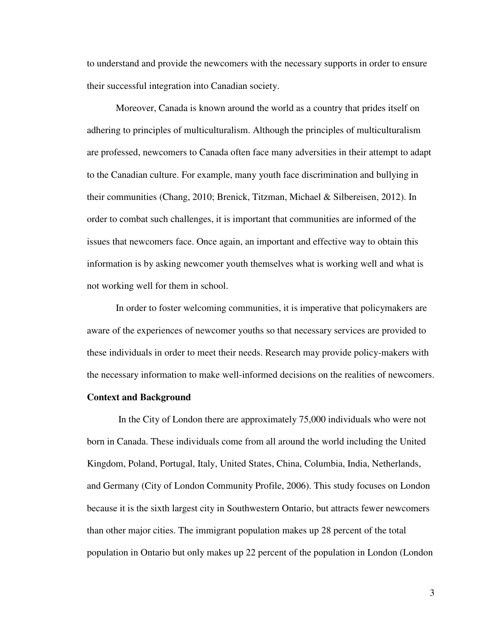to understand and provide the newcomers with the necessary supports in order to ensure their successful integration into Canadian society.

Moreover, Canada is known around the world as a country that prides itself on adhering to principles of multiculturalism. Although the principles of multiculturalism are professed, newcomers to Canada often face many adversities in their attempt to adapt to the Canadian culture. For example, many youth face discrimination and bullying in their communities (Chang, 2010; Brenick, Titzman, Michael & Silbereisen, 2012). In order to combat such challenges, it is important that communities are informed of the issues that newcomers face. Once again, an important and effective way to obtain this information is by asking newcomer youth themselves what is working well and what is not working well for them in school.

In order to foster welcoming communities, it is imperative that policymakers are aware of the experiences of newcomer youths so that necessary services are provided to these individuals in order to meet their needs. Research may provide policy-makers with the necessary information to make well-informed decisions on the realities of newcomers.

# **Context and Background**

 In the City of London there are approximately 75,000 individuals who were not born in Canada. These individuals come from all around the world including the United Kingdom, Poland, Portugal, Italy, United States, China, Columbia, India, Netherlands, and Germany (City of London Community Profile, 2006). This study focuses on London because it is the sixth largest city in Southwestern Ontario, but attracts fewer newcomers than other major cities. The immigrant population makes up 28 percent of the total population in Ontario but only makes up 22 percent of the population in London (London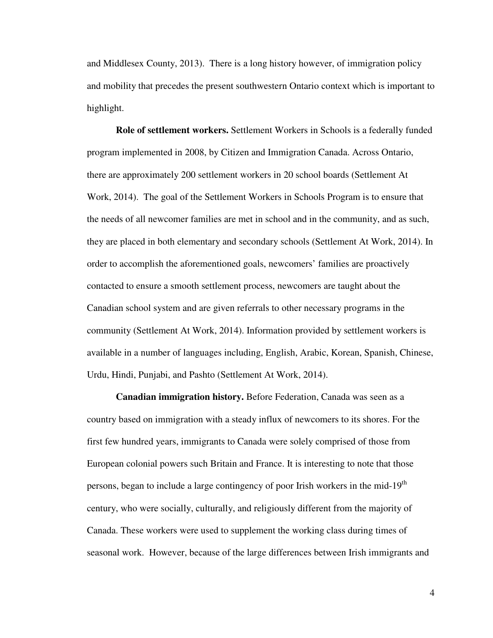and Middlesex County, 2013). There is a long history however, of immigration policy and mobility that precedes the present southwestern Ontario context which is important to highlight.

 **Role of settlement workers.** Settlement Workers in Schools is a federally funded program implemented in 2008, by Citizen and Immigration Canada. Across Ontario, there are approximately 200 settlement workers in 20 school boards (Settlement At Work, 2014). The goal of the Settlement Workers in Schools Program is to ensure that the needs of all newcomer families are met in school and in the community, and as such, they are placed in both elementary and secondary schools (Settlement At Work, 2014). In order to accomplish the aforementioned goals, newcomers' families are proactively contacted to ensure a smooth settlement process, newcomers are taught about the Canadian school system and are given referrals to other necessary programs in the community (Settlement At Work, 2014). Information provided by settlement workers is available in a number of languages including, English, Arabic, Korean, Spanish, Chinese, Urdu, Hindi, Punjabi, and Pashto (Settlement At Work, 2014).

**Canadian immigration history.** Before Federation, Canada was seen as a country based on immigration with a steady influx of newcomers to its shores. For the first few hundred years, immigrants to Canada were solely comprised of those from European colonial powers such Britain and France. It is interesting to note that those persons, began to include a large contingency of poor Irish workers in the mid-19<sup>th</sup> century, who were socially, culturally, and religiously different from the majority of Canada. These workers were used to supplement the working class during times of seasonal work. However, because of the large differences between Irish immigrants and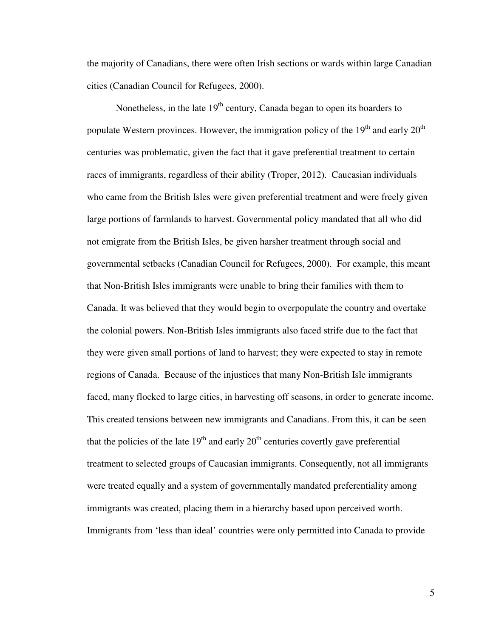the majority of Canadians, there were often Irish sections or wards within large Canadian cities (Canadian Council for Refugees, 2000).

Nonetheless, in the late  $19<sup>th</sup>$  century, Canada began to open its boarders to populate Western provinces. However, the immigration policy of the  $19<sup>th</sup>$  and early  $20<sup>th</sup>$ centuries was problematic, given the fact that it gave preferential treatment to certain races of immigrants, regardless of their ability (Troper, 2012). Caucasian individuals who came from the British Isles were given preferential treatment and were freely given large portions of farmlands to harvest. Governmental policy mandated that all who did not emigrate from the British Isles, be given harsher treatment through social and governmental setbacks (Canadian Council for Refugees, 2000). For example, this meant that Non-British Isles immigrants were unable to bring their families with them to Canada. It was believed that they would begin to overpopulate the country and overtake the colonial powers. Non-British Isles immigrants also faced strife due to the fact that they were given small portions of land to harvest; they were expected to stay in remote regions of Canada. Because of the injustices that many Non-British Isle immigrants faced, many flocked to large cities, in harvesting off seasons, in order to generate income. This created tensions between new immigrants and Canadians. From this, it can be seen that the policies of the late  $19<sup>th</sup>$  and early  $20<sup>th</sup>$  centuries covertly gave preferential treatment to selected groups of Caucasian immigrants. Consequently, not all immigrants were treated equally and a system of governmentally mandated preferentiality among immigrants was created, placing them in a hierarchy based upon perceived worth. Immigrants from 'less than ideal' countries were only permitted into Canada to provide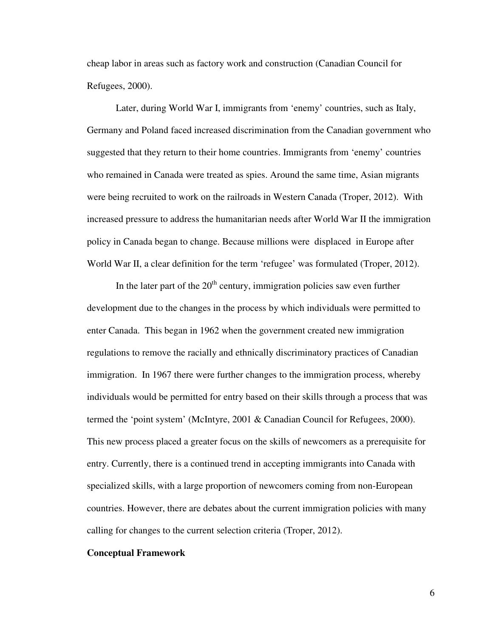cheap labor in areas such as factory work and construction (Canadian Council for Refugees, 2000).

Later, during World War I, immigrants from 'enemy' countries, such as Italy, Germany and Poland faced increased discrimination from the Canadian government who suggested that they return to their home countries. Immigrants from 'enemy' countries who remained in Canada were treated as spies. Around the same time, Asian migrants were being recruited to work on the railroads in Western Canada (Troper, 2012). With increased pressure to address the humanitarian needs after World War II the immigration policy in Canada began to change. Because millions were displaced in Europe after World War II, a clear definition for the term 'refugee' was formulated (Troper, 2012).

In the later part of the  $20<sup>th</sup>$  century, immigration policies saw even further development due to the changes in the process by which individuals were permitted to enter Canada. This began in 1962 when the government created new immigration regulations to remove the racially and ethnically discriminatory practices of Canadian immigration. In 1967 there were further changes to the immigration process, whereby individuals would be permitted for entry based on their skills through a process that was termed the 'point system' (McIntyre, 2001 & Canadian Council for Refugees, 2000). This new process placed a greater focus on the skills of newcomers as a prerequisite for entry. Currently, there is a continued trend in accepting immigrants into Canada with specialized skills, with a large proportion of newcomers coming from non-European countries. However, there are debates about the current immigration policies with many calling for changes to the current selection criteria (Troper, 2012).

#### **Conceptual Framework**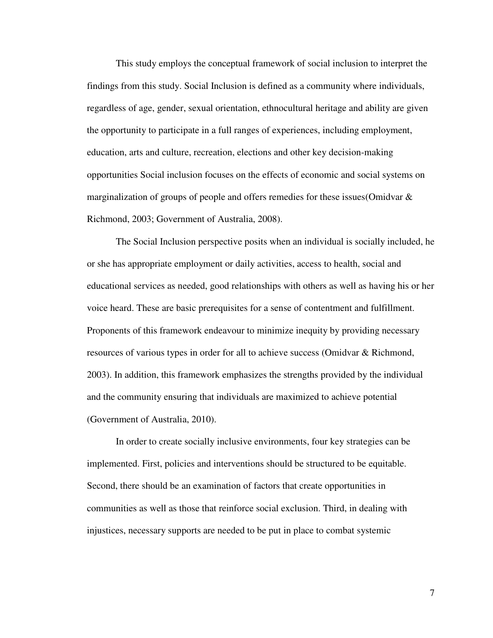This study employs the conceptual framework of social inclusion to interpret the findings from this study. Social Inclusion is defined as a community where individuals, regardless of age, gender, sexual orientation, ethnocultural heritage and ability are given the opportunity to participate in a full ranges of experiences, including employment, education, arts and culture, recreation, elections and other key decision-making opportunities Social inclusion focuses on the effects of economic and social systems on marginalization of groups of people and offers remedies for these issues(Omidvar & Richmond, 2003; Government of Australia, 2008).

The Social Inclusion perspective posits when an individual is socially included, he or she has appropriate employment or daily activities, access to health, social and educational services as needed, good relationships with others as well as having his or her voice heard. These are basic prerequisites for a sense of contentment and fulfillment. Proponents of this framework endeavour to minimize inequity by providing necessary resources of various types in order for all to achieve success (Omidvar & Richmond, 2003). In addition, this framework emphasizes the strengths provided by the individual and the community ensuring that individuals are maximized to achieve potential (Government of Australia, 2010).

In order to create socially inclusive environments, four key strategies can be implemented. First, policies and interventions should be structured to be equitable. Second, there should be an examination of factors that create opportunities in communities as well as those that reinforce social exclusion. Third, in dealing with injustices, necessary supports are needed to be put in place to combat systemic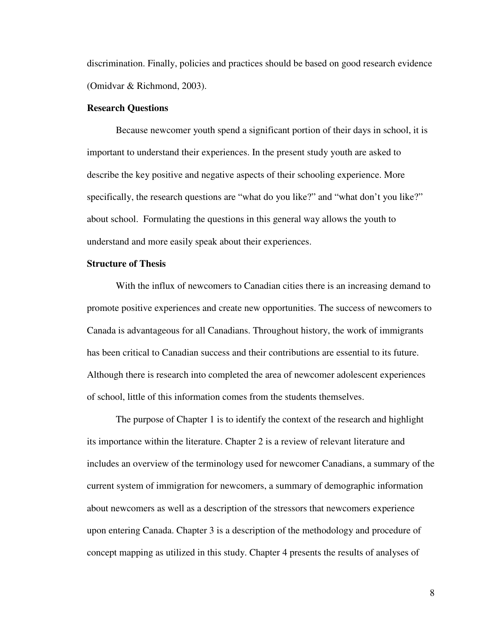discrimination. Finally, policies and practices should be based on good research evidence (Omidvar & Richmond, 2003).

# **Research Questions**

Because newcomer youth spend a significant portion of their days in school, it is important to understand their experiences. In the present study youth are asked to describe the key positive and negative aspects of their schooling experience. More specifically, the research questions are "what do you like?" and "what don't you like?" about school. Formulating the questions in this general way allows the youth to understand and more easily speak about their experiences.

# **Structure of Thesis**

With the influx of newcomers to Canadian cities there is an increasing demand to promote positive experiences and create new opportunities. The success of newcomers to Canada is advantageous for all Canadians. Throughout history, the work of immigrants has been critical to Canadian success and their contributions are essential to its future. Although there is research into completed the area of newcomer adolescent experiences of school, little of this information comes from the students themselves.

The purpose of Chapter 1 is to identify the context of the research and highlight its importance within the literature. Chapter 2 is a review of relevant literature and includes an overview of the terminology used for newcomer Canadians, a summary of the current system of immigration for newcomers, a summary of demographic information about newcomers as well as a description of the stressors that newcomers experience upon entering Canada. Chapter 3 is a description of the methodology and procedure of concept mapping as utilized in this study. Chapter 4 presents the results of analyses of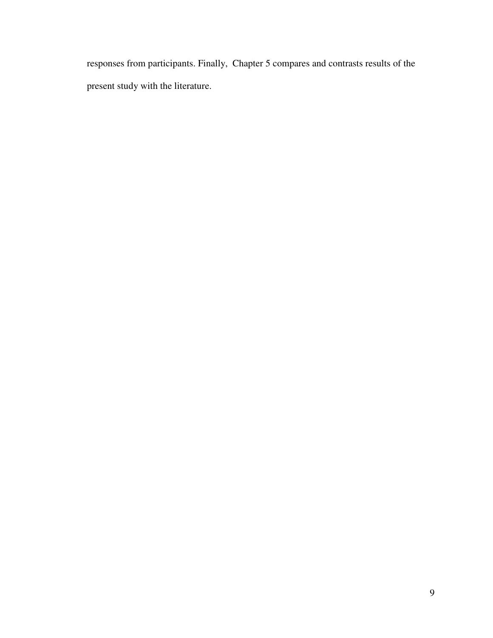responses from participants. Finally, Chapter 5 compares and contrasts results of the present study with the literature.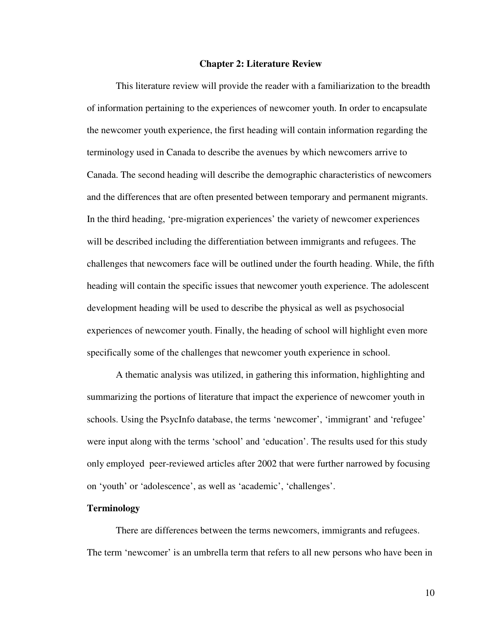#### **Chapter 2: Literature Review**

This literature review will provide the reader with a familiarization to the breadth of information pertaining to the experiences of newcomer youth. In order to encapsulate the newcomer youth experience, the first heading will contain information regarding the terminology used in Canada to describe the avenues by which newcomers arrive to Canada. The second heading will describe the demographic characteristics of newcomers and the differences that are often presented between temporary and permanent migrants. In the third heading, 'pre-migration experiences' the variety of newcomer experiences will be described including the differentiation between immigrants and refugees. The challenges that newcomers face will be outlined under the fourth heading. While, the fifth heading will contain the specific issues that newcomer youth experience. The adolescent development heading will be used to describe the physical as well as psychosocial experiences of newcomer youth. Finally, the heading of school will highlight even more specifically some of the challenges that newcomer youth experience in school.

 A thematic analysis was utilized, in gathering this information, highlighting and summarizing the portions of literature that impact the experience of newcomer youth in schools. Using the PsycInfo database, the terms 'newcomer', 'immigrant' and 'refugee' were input along with the terms 'school' and 'education'. The results used for this study only employed peer-reviewed articles after 2002 that were further narrowed by focusing on 'youth' or 'adolescence', as well as 'academic', 'challenges'.

# **Terminology**

There are differences between the terms newcomers, immigrants and refugees. The term 'newcomer' is an umbrella term that refers to all new persons who have been in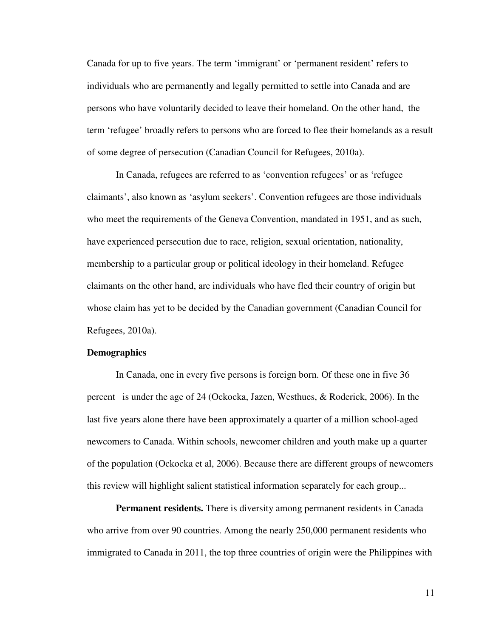Canada for up to five years. The term 'immigrant' or 'permanent resident' refers to individuals who are permanently and legally permitted to settle into Canada and are persons who have voluntarily decided to leave their homeland. On the other hand, the term 'refugee' broadly refers to persons who are forced to flee their homelands as a result of some degree of persecution (Canadian Council for Refugees, 2010a).

 In Canada, refugees are referred to as 'convention refugees' or as 'refugee claimants', also known as 'asylum seekers'. Convention refugees are those individuals who meet the requirements of the Geneva Convention, mandated in 1951, and as such, have experienced persecution due to race, religion, sexual orientation, nationality, membership to a particular group or political ideology in their homeland. Refugee claimants on the other hand, are individuals who have fled their country of origin but whose claim has yet to be decided by the Canadian government (Canadian Council for Refugees, 2010a).

#### **Demographics**

 In Canada, one in every five persons is foreign born. Of these one in five 36 percent is under the age of 24 (Ockocka, Jazen, Westhues, & Roderick, 2006). In the last five years alone there have been approximately a quarter of a million school-aged newcomers to Canada. Within schools, newcomer children and youth make up a quarter of the population (Ockocka et al, 2006). Because there are different groups of newcomers this review will highlight salient statistical information separately for each group...

**Permanent residents.** There is diversity among permanent residents in Canada who arrive from over 90 countries. Among the nearly 250,000 permanent residents who immigrated to Canada in 2011, the top three countries of origin were the Philippines with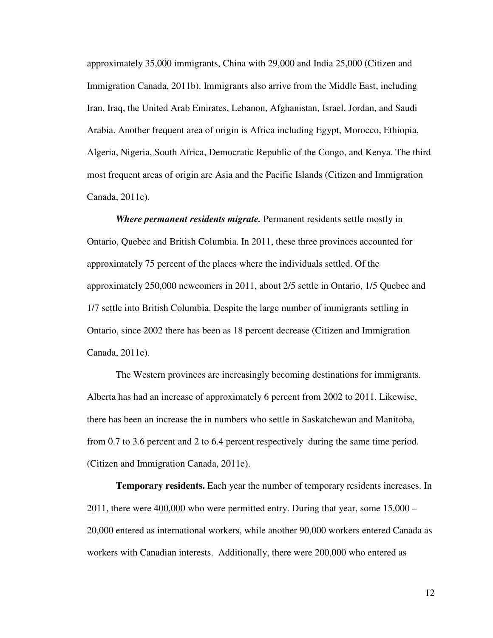approximately 35,000 immigrants, China with 29,000 and India 25,000 (Citizen and Immigration Canada, 2011b). Immigrants also arrive from the Middle East, including Iran, Iraq, the United Arab Emirates, Lebanon, Afghanistan, Israel, Jordan, and Saudi Arabia. Another frequent area of origin is Africa including Egypt, Morocco, Ethiopia, Algeria, Nigeria, South Africa, Democratic Republic of the Congo, and Kenya. The third most frequent areas of origin are Asia and the Pacific Islands (Citizen and Immigration Canada, 2011c).

*Where permanent residents migrate.* Permanent residents settle mostly in Ontario, Quebec and British Columbia. In 2011, these three provinces accounted for approximately 75 percent of the places where the individuals settled. Of the approximately 250,000 newcomers in 2011, about 2/5 settle in Ontario, 1/5 Quebec and 1/7 settle into British Columbia. Despite the large number of immigrants settling in Ontario, since 2002 there has been as 18 percent decrease (Citizen and Immigration Canada, 2011e).

The Western provinces are increasingly becoming destinations for immigrants. Alberta has had an increase of approximately 6 percent from 2002 to 2011. Likewise, there has been an increase the in numbers who settle in Saskatchewan and Manitoba, from 0.7 to 3.6 percent and 2 to 6.4 percent respectively during the same time period. (Citizen and Immigration Canada, 2011e).

**Temporary residents.** Each year the number of temporary residents increases. In 2011, there were 400,000 who were permitted entry. During that year, some 15,000 – 20,000 entered as international workers, while another 90,000 workers entered Canada as workers with Canadian interests. Additionally, there were 200,000 who entered as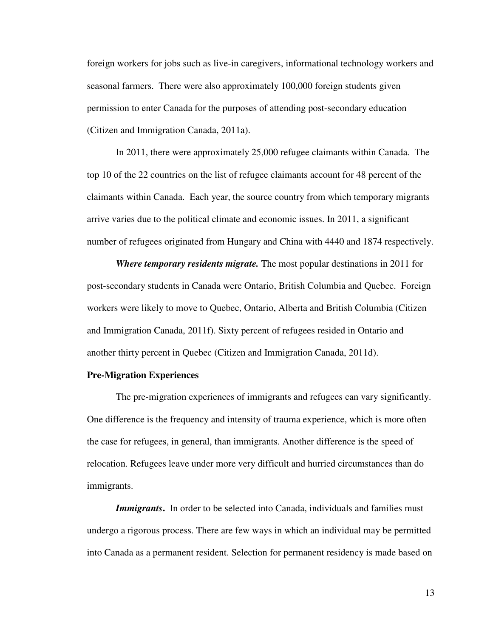foreign workers for jobs such as live-in caregivers, informational technology workers and seasonal farmers. There were also approximately 100,000 foreign students given permission to enter Canada for the purposes of attending post-secondary education (Citizen and Immigration Canada, 2011a).

In 2011, there were approximately 25,000 refugee claimants within Canada. The top 10 of the 22 countries on the list of refugee claimants account for 48 percent of the claimants within Canada. Each year, the source country from which temporary migrants arrive varies due to the political climate and economic issues. In 2011, a significant number of refugees originated from Hungary and China with 4440 and 1874 respectively.

 *Where temporary residents migrate.* The most popular destinations in 2011 for post-secondary students in Canada were Ontario, British Columbia and Quebec. Foreign workers were likely to move to Quebec, Ontario, Alberta and British Columbia (Citizen and Immigration Canada, 2011f). Sixty percent of refugees resided in Ontario and another thirty percent in Quebec (Citizen and Immigration Canada, 2011d).

# **Pre-Migration Experiences**

The pre-migration experiences of immigrants and refugees can vary significantly. One difference is the frequency and intensity of trauma experience, which is more often the case for refugees, in general, than immigrants. Another difference is the speed of relocation. Refugees leave under more very difficult and hurried circumstances than do immigrants.

*Immigrants*. In order to be selected into Canada, individuals and families must undergo a rigorous process. There are few ways in which an individual may be permitted into Canada as a permanent resident. Selection for permanent residency is made based on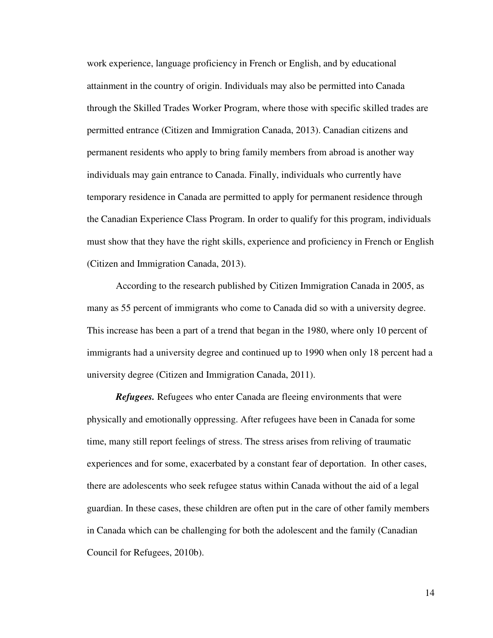work experience, language proficiency in French or English, and by educational attainment in the country of origin. Individuals may also be permitted into Canada through the Skilled Trades Worker Program, where those with specific skilled trades are permitted entrance (Citizen and Immigration Canada, 2013). Canadian citizens and permanent residents who apply to bring family members from abroad is another way individuals may gain entrance to Canada. Finally, individuals who currently have temporary residence in Canada are permitted to apply for permanent residence through the Canadian Experience Class Program. In order to qualify for this program, individuals must show that they have the right skills, experience and proficiency in French or English (Citizen and Immigration Canada, 2013).

According to the research published by Citizen Immigration Canada in 2005, as many as 55 percent of immigrants who come to Canada did so with a university degree. This increase has been a part of a trend that began in the 1980, where only 10 percent of immigrants had a university degree and continued up to 1990 when only 18 percent had a university degree (Citizen and Immigration Canada, 2011).

*Refugees.* Refugees who enter Canada are fleeing environments that were physically and emotionally oppressing. After refugees have been in Canada for some time, many still report feelings of stress. The stress arises from reliving of traumatic experiences and for some, exacerbated by a constant fear of deportation. In other cases, there are adolescents who seek refugee status within Canada without the aid of a legal guardian. In these cases, these children are often put in the care of other family members in Canada which can be challenging for both the adolescent and the family (Canadian Council for Refugees, 2010b).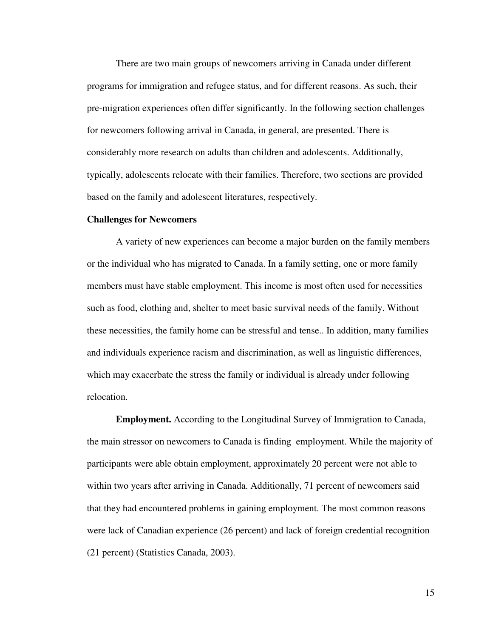There are two main groups of newcomers arriving in Canada under different programs for immigration and refugee status, and for different reasons. As such, their pre-migration experiences often differ significantly. In the following section challenges for newcomers following arrival in Canada, in general, are presented. There is considerably more research on adults than children and adolescents. Additionally, typically, adolescents relocate with their families. Therefore, two sections are provided based on the family and adolescent literatures, respectively.

#### **Challenges for Newcomers**

A variety of new experiences can become a major burden on the family members or the individual who has migrated to Canada. In a family setting, one or more family members must have stable employment. This income is most often used for necessities such as food, clothing and, shelter to meet basic survival needs of the family. Without these necessities, the family home can be stressful and tense.. In addition, many families and individuals experience racism and discrimination, as well as linguistic differences, which may exacerbate the stress the family or individual is already under following relocation.

**Employment.** According to the Longitudinal Survey of Immigration to Canada, the main stressor on newcomers to Canada is finding employment. While the majority of participants were able obtain employment, approximately 20 percent were not able to within two years after arriving in Canada. Additionally, 71 percent of newcomers said that they had encountered problems in gaining employment. The most common reasons were lack of Canadian experience (26 percent) and lack of foreign credential recognition (21 percent) (Statistics Canada, 2003).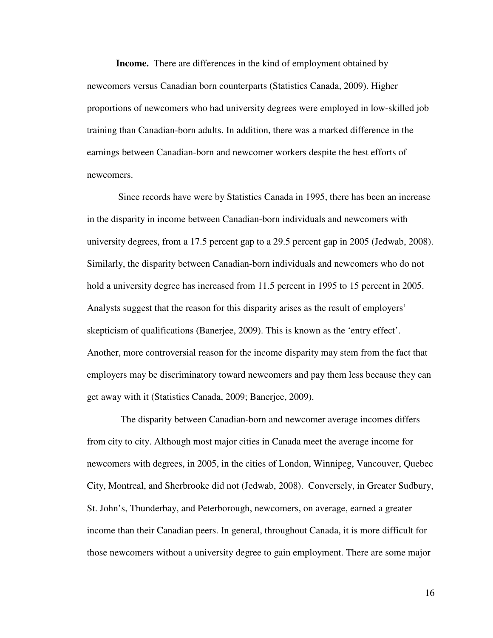**Income.** There are differences in the kind of employment obtained by newcomers versus Canadian born counterparts (Statistics Canada, 2009). Higher proportions of newcomers who had university degrees were employed in low-skilled job training than Canadian-born adults. In addition, there was a marked difference in the earnings between Canadian-born and newcomer workers despite the best efforts of newcomers.

 Since records have were by Statistics Canada in 1995, there has been an increase in the disparity in income between Canadian-born individuals and newcomers with university degrees, from a 17.5 percent gap to a 29.5 percent gap in 2005 (Jedwab, 2008). Similarly, the disparity between Canadian-born individuals and newcomers who do not hold a university degree has increased from 11.5 percent in 1995 to 15 percent in 2005. Analysts suggest that the reason for this disparity arises as the result of employers' skepticism of qualifications (Banerjee, 2009). This is known as the 'entry effect'. Another, more controversial reason for the income disparity may stem from the fact that employers may be discriminatory toward newcomers and pay them less because they can get away with it (Statistics Canada, 2009; Banerjee, 2009).

 The disparity between Canadian-born and newcomer average incomes differs from city to city. Although most major cities in Canada meet the average income for newcomers with degrees, in 2005, in the cities of London, Winnipeg, Vancouver, Quebec City, Montreal, and Sherbrooke did not (Jedwab, 2008). Conversely, in Greater Sudbury, St. John's, Thunderbay, and Peterborough, newcomers, on average, earned a greater income than their Canadian peers. In general, throughout Canada, it is more difficult for those newcomers without a university degree to gain employment. There are some major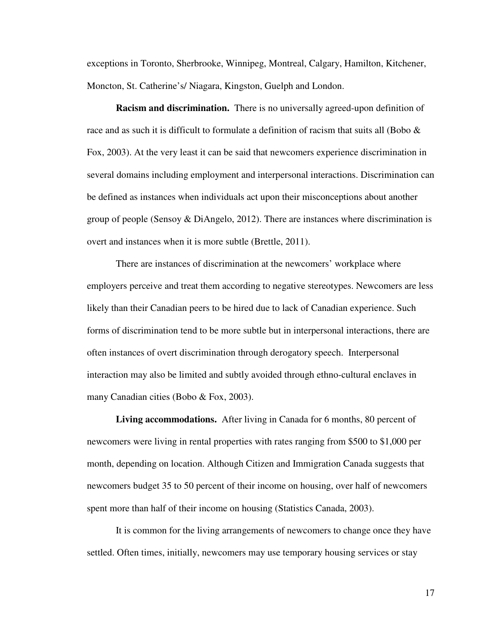exceptions in Toronto, Sherbrooke, Winnipeg, Montreal, Calgary, Hamilton, Kitchener, Moncton, St. Catherine's/ Niagara, Kingston, Guelph and London.

**Racism and discrimination.** There is no universally agreed-upon definition of race and as such it is difficult to formulate a definition of racism that suits all (Bobo & Fox, 2003). At the very least it can be said that newcomers experience discrimination in several domains including employment and interpersonal interactions. Discrimination can be defined as instances when individuals act upon their misconceptions about another group of people (Sensoy & DiAngelo, 2012). There are instances where discrimination is overt and instances when it is more subtle (Brettle, 2011).

There are instances of discrimination at the newcomers' workplace where employers perceive and treat them according to negative stereotypes. Newcomers are less likely than their Canadian peers to be hired due to lack of Canadian experience. Such forms of discrimination tend to be more subtle but in interpersonal interactions, there are often instances of overt discrimination through derogatory speech. Interpersonal interaction may also be limited and subtly avoided through ethno-cultural enclaves in many Canadian cities (Bobo & Fox, 2003).

 **Living accommodations.** After living in Canada for 6 months, 80 percent of newcomers were living in rental properties with rates ranging from \$500 to \$1,000 per month, depending on location. Although Citizen and Immigration Canada suggests that newcomers budget 35 to 50 percent of their income on housing, over half of newcomers spent more than half of their income on housing (Statistics Canada, 2003).

 It is common for the living arrangements of newcomers to change once they have settled. Often times, initially, newcomers may use temporary housing services or stay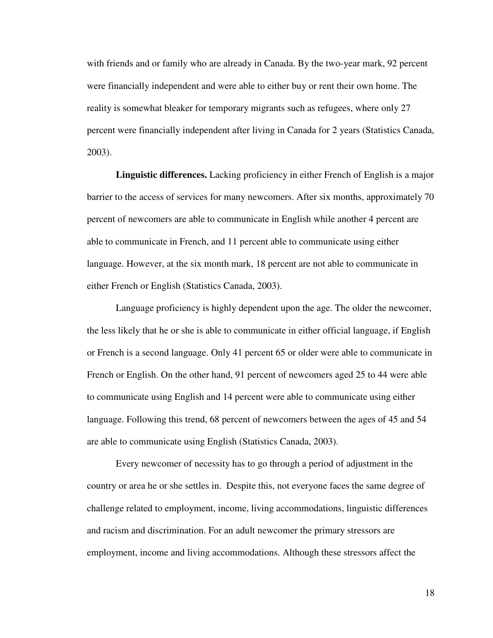with friends and or family who are already in Canada. By the two-year mark, 92 percent were financially independent and were able to either buy or rent their own home. The reality is somewhat bleaker for temporary migrants such as refugees, where only 27 percent were financially independent after living in Canada for 2 years (Statistics Canada, 2003).

**Linguistic differences.** Lacking proficiency in either French of English is a major barrier to the access of services for many newcomers. After six months, approximately 70 percent of newcomers are able to communicate in English while another 4 percent are able to communicate in French, and 11 percent able to communicate using either language. However, at the six month mark, 18 percent are not able to communicate in either French or English (Statistics Canada, 2003).

Language proficiency is highly dependent upon the age. The older the newcomer, the less likely that he or she is able to communicate in either official language, if English or French is a second language. Only 41 percent 65 or older were able to communicate in French or English. On the other hand, 91 percent of newcomers aged 25 to 44 were able to communicate using English and 14 percent were able to communicate using either language. Following this trend, 68 percent of newcomers between the ages of 45 and 54 are able to communicate using English (Statistics Canada, 2003).

 Every newcomer of necessity has to go through a period of adjustment in the country or area he or she settles in. Despite this, not everyone faces the same degree of challenge related to employment, income, living accommodations, linguistic differences and racism and discrimination. For an adult newcomer the primary stressors are employment, income and living accommodations. Although these stressors affect the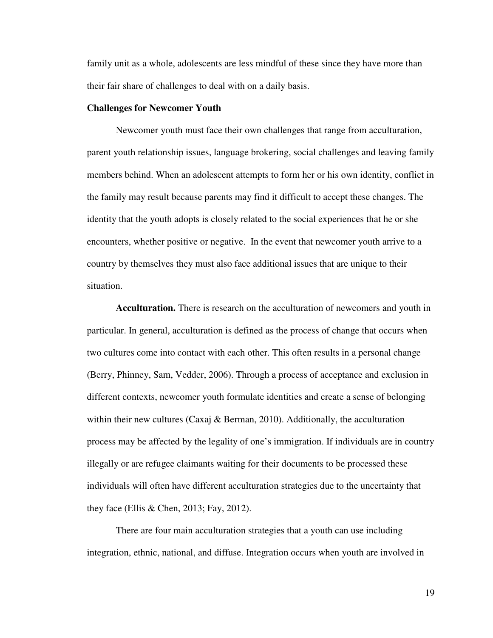family unit as a whole, adolescents are less mindful of these since they have more than their fair share of challenges to deal with on a daily basis.

#### **Challenges for Newcomer Youth**

Newcomer youth must face their own challenges that range from acculturation, parent youth relationship issues, language brokering, social challenges and leaving family members behind. When an adolescent attempts to form her or his own identity, conflict in the family may result because parents may find it difficult to accept these changes. The identity that the youth adopts is closely related to the social experiences that he or she encounters, whether positive or negative. In the event that newcomer youth arrive to a country by themselves they must also face additional issues that are unique to their situation.

**Acculturation.** There is research on the acculturation of newcomers and youth in particular. In general, acculturation is defined as the process of change that occurs when two cultures come into contact with each other. This often results in a personal change (Berry, Phinney, Sam, Vedder, 2006). Through a process of acceptance and exclusion in different contexts, newcomer youth formulate identities and create a sense of belonging within their new cultures (Caxaj  $\&$  Berman, 2010). Additionally, the acculturation process may be affected by the legality of one's immigration. If individuals are in country illegally or are refugee claimants waiting for their documents to be processed these individuals will often have different acculturation strategies due to the uncertainty that they face (Ellis & Chen, 2013; Fay, 2012).

 There are four main acculturation strategies that a youth can use including integration, ethnic, national, and diffuse. Integration occurs when youth are involved in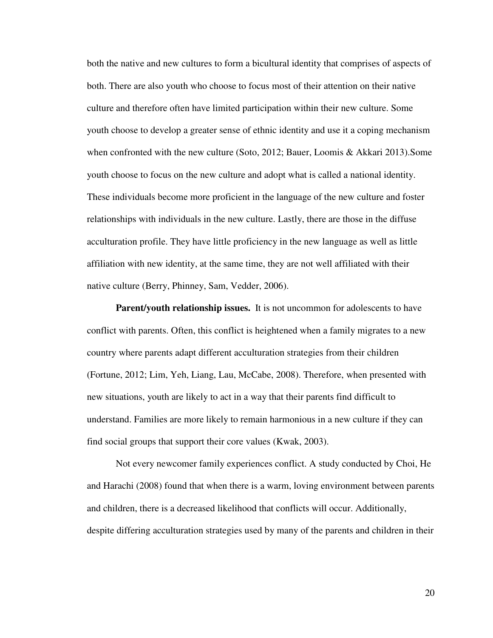both the native and new cultures to form a bicultural identity that comprises of aspects of both. There are also youth who choose to focus most of their attention on their native culture and therefore often have limited participation within their new culture. Some youth choose to develop a greater sense of ethnic identity and use it a coping mechanism when confronted with the new culture (Soto, 2012; Bauer, Loomis & Akkari 2013).Some youth choose to focus on the new culture and adopt what is called a national identity. These individuals become more proficient in the language of the new culture and foster relationships with individuals in the new culture. Lastly, there are those in the diffuse acculturation profile. They have little proficiency in the new language as well as little affiliation with new identity, at the same time, they are not well affiliated with their native culture (Berry, Phinney, Sam, Vedder, 2006).

**Parent/youth relationship issues.** It is not uncommon for adolescents to have conflict with parents. Often, this conflict is heightened when a family migrates to a new country where parents adapt different acculturation strategies from their children (Fortune, 2012; Lim, Yeh, Liang, Lau, McCabe, 2008). Therefore, when presented with new situations, youth are likely to act in a way that their parents find difficult to understand. Families are more likely to remain harmonious in a new culture if they can find social groups that support their core values (Kwak, 2003).

Not every newcomer family experiences conflict. A study conducted by Choi, He and Harachi (2008) found that when there is a warm, loving environment between parents and children, there is a decreased likelihood that conflicts will occur. Additionally, despite differing acculturation strategies used by many of the parents and children in their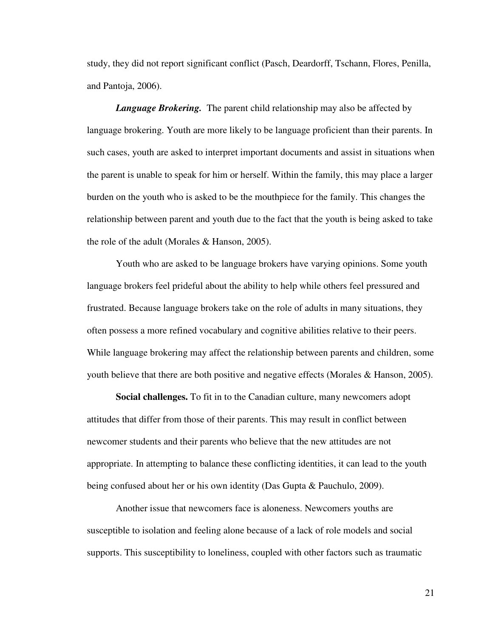study, they did not report significant conflict (Pasch, Deardorff, Tschann, Flores, Penilla, and Pantoja, 2006).

*Language Brokering.* The parent child relationship may also be affected by language brokering. Youth are more likely to be language proficient than their parents. In such cases, youth are asked to interpret important documents and assist in situations when the parent is unable to speak for him or herself. Within the family, this may place a larger burden on the youth who is asked to be the mouthpiece for the family. This changes the relationship between parent and youth due to the fact that the youth is being asked to take the role of the adult (Morales & Hanson, 2005).

Youth who are asked to be language brokers have varying opinions. Some youth language brokers feel prideful about the ability to help while others feel pressured and frustrated. Because language brokers take on the role of adults in many situations, they often possess a more refined vocabulary and cognitive abilities relative to their peers. While language brokering may affect the relationship between parents and children, some youth believe that there are both positive and negative effects (Morales & Hanson, 2005).

**Social challenges.** To fit in to the Canadian culture, many newcomers adopt attitudes that differ from those of their parents. This may result in conflict between newcomer students and their parents who believe that the new attitudes are not appropriate. In attempting to balance these conflicting identities, it can lead to the youth being confused about her or his own identity (Das Gupta & Pauchulo, 2009).

 Another issue that newcomers face is aloneness. Newcomers youths are susceptible to isolation and feeling alone because of a lack of role models and social supports. This susceptibility to loneliness, coupled with other factors such as traumatic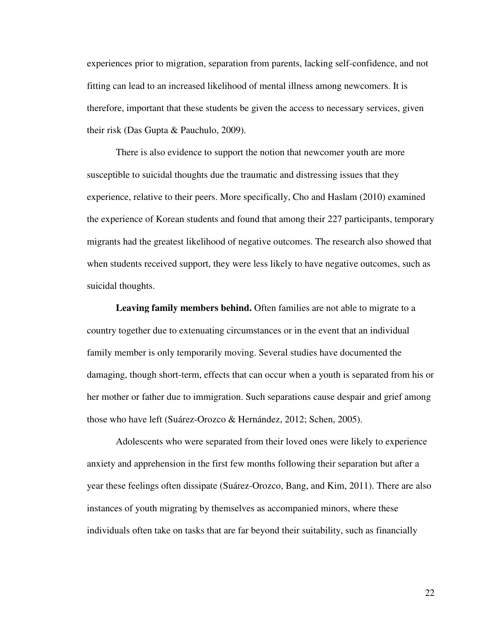experiences prior to migration, separation from parents, lacking self-confidence, and not fitting can lead to an increased likelihood of mental illness among newcomers. It is therefore, important that these students be given the access to necessary services, given their risk (Das Gupta & Pauchulo, 2009).

There is also evidence to support the notion that newcomer youth are more susceptible to suicidal thoughts due the traumatic and distressing issues that they experience, relative to their peers. More specifically, Cho and Haslam (2010) examined the experience of Korean students and found that among their 227 participants, temporary migrants had the greatest likelihood of negative outcomes. The research also showed that when students received support, they were less likely to have negative outcomes, such as suicidal thoughts.

**Leaving family members behind.** Often families are not able to migrate to a country together due to extenuating circumstances or in the event that an individual family member is only temporarily moving. Several studies have documented the damaging, though short-term, effects that can occur when a youth is separated from his or her mother or father due to immigration. Such separations cause despair and grief among those who have left (Suárez-Orozco & Hernández, 2012; Schen, 2005).

Adolescents who were separated from their loved ones were likely to experience anxiety and apprehension in the first few months following their separation but after a year these feelings often dissipate (Suárez-Orozco, Bang, and Kim, 2011). There are also instances of youth migrating by themselves as accompanied minors, where these individuals often take on tasks that are far beyond their suitability, such as financially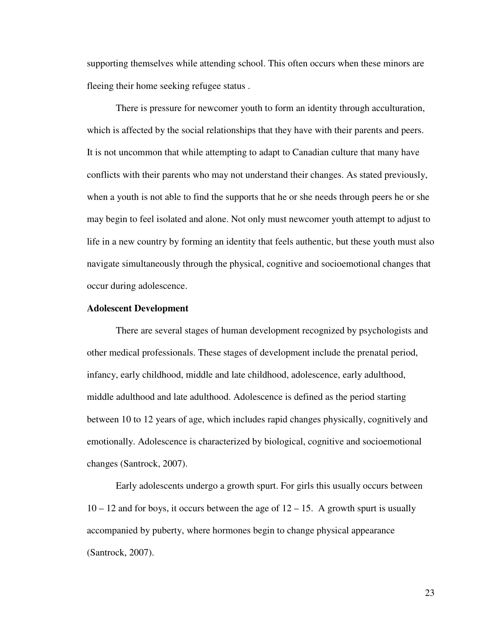supporting themselves while attending school. This often occurs when these minors are fleeing their home seeking refugee status .

There is pressure for newcomer youth to form an identity through acculturation, which is affected by the social relationships that they have with their parents and peers. It is not uncommon that while attempting to adapt to Canadian culture that many have conflicts with their parents who may not understand their changes. As stated previously, when a youth is not able to find the supports that he or she needs through peers he or she may begin to feel isolated and alone. Not only must newcomer youth attempt to adjust to life in a new country by forming an identity that feels authentic, but these youth must also navigate simultaneously through the physical, cognitive and socioemotional changes that occur during adolescence.

#### **Adolescent Development**

There are several stages of human development recognized by psychologists and other medical professionals. These stages of development include the prenatal period, infancy, early childhood, middle and late childhood, adolescence, early adulthood, middle adulthood and late adulthood. Adolescence is defined as the period starting between 10 to 12 years of age, which includes rapid changes physically, cognitively and emotionally. Adolescence is characterized by biological, cognitive and socioemotional changes (Santrock, 2007).

Early adolescents undergo a growth spurt. For girls this usually occurs between  $10 - 12$  and for boys, it occurs between the age of  $12 - 15$ . A growth spurt is usually accompanied by puberty, where hormones begin to change physical appearance (Santrock, 2007).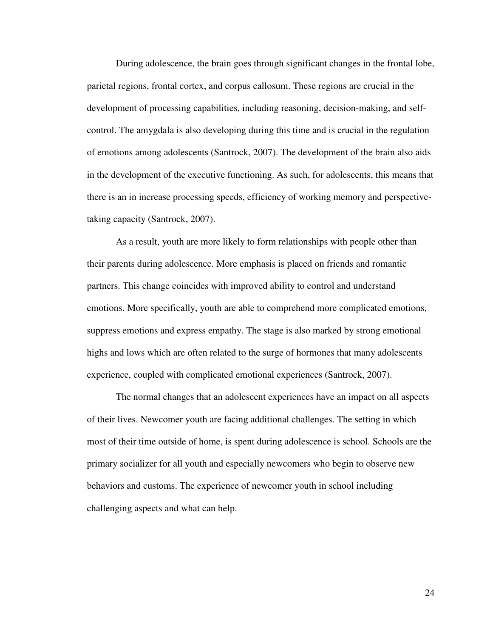During adolescence, the brain goes through significant changes in the frontal lobe, parietal regions, frontal cortex, and corpus callosum. These regions are crucial in the development of processing capabilities, including reasoning, decision-making, and selfcontrol. The amygdala is also developing during this time and is crucial in the regulation of emotions among adolescents (Santrock, 2007). The development of the brain also aids in the development of the executive functioning. As such, for adolescents, this means that there is an in increase processing speeds, efficiency of working memory and perspectivetaking capacity (Santrock, 2007).

As a result, youth are more likely to form relationships with people other than their parents during adolescence. More emphasis is placed on friends and romantic partners. This change coincides with improved ability to control and understand emotions. More specifically, youth are able to comprehend more complicated emotions, suppress emotions and express empathy. The stage is also marked by strong emotional highs and lows which are often related to the surge of hormones that many adolescents experience, coupled with complicated emotional experiences (Santrock, 2007).

The normal changes that an adolescent experiences have an impact on all aspects of their lives. Newcomer youth are facing additional challenges. The setting in which most of their time outside of home, is spent during adolescence is school. Schools are the primary socializer for all youth and especially newcomers who begin to observe new behaviors and customs. The experience of newcomer youth in school including challenging aspects and what can help.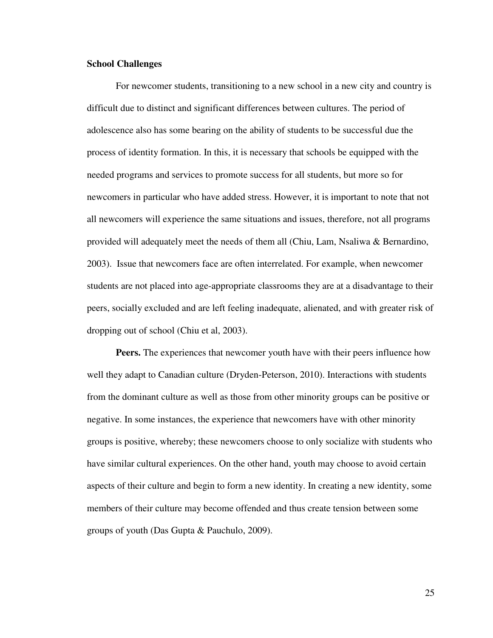# **School Challenges**

For newcomer students, transitioning to a new school in a new city and country is difficult due to distinct and significant differences between cultures. The period of adolescence also has some bearing on the ability of students to be successful due the process of identity formation. In this, it is necessary that schools be equipped with the needed programs and services to promote success for all students, but more so for newcomers in particular who have added stress. However, it is important to note that not all newcomers will experience the same situations and issues, therefore, not all programs provided will adequately meet the needs of them all (Chiu, Lam, Nsaliwa & Bernardino, 2003). Issue that newcomers face are often interrelated. For example, when newcomer students are not placed into age-appropriate classrooms they are at a disadvantage to their peers, socially excluded and are left feeling inadequate, alienated, and with greater risk of dropping out of school (Chiu et al, 2003).

**Peers.** The experiences that newcomer youth have with their peers influence how well they adapt to Canadian culture (Dryden-Peterson, 2010). Interactions with students from the dominant culture as well as those from other minority groups can be positive or negative. In some instances, the experience that newcomers have with other minority groups is positive, whereby; these newcomers choose to only socialize with students who have similar cultural experiences. On the other hand, youth may choose to avoid certain aspects of their culture and begin to form a new identity. In creating a new identity, some members of their culture may become offended and thus create tension between some groups of youth (Das Gupta & Pauchulo, 2009).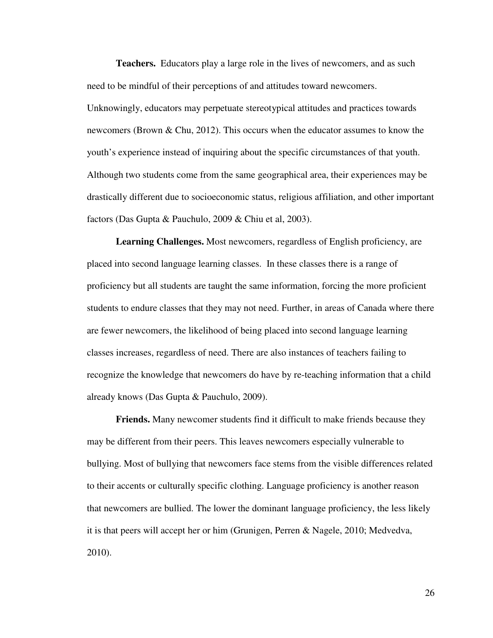**Teachers.**Educators play a large role in the lives of newcomers, and as such need to be mindful of their perceptions of and attitudes toward newcomers. Unknowingly, educators may perpetuate stereotypical attitudes and practices towards newcomers (Brown & Chu, 2012). This occurs when the educator assumes to know the youth's experience instead of inquiring about the specific circumstances of that youth. Although two students come from the same geographical area, their experiences may be drastically different due to socioeconomic status, religious affiliation, and other important factors (Das Gupta & Pauchulo, 2009 & Chiu et al, 2003).

**Learning Challenges.** Most newcomers, regardless of English proficiency, are placed into second language learning classes. In these classes there is a range of proficiency but all students are taught the same information, forcing the more proficient students to endure classes that they may not need. Further, in areas of Canada where there are fewer newcomers, the likelihood of being placed into second language learning classes increases, regardless of need. There are also instances of teachers failing to recognize the knowledge that newcomers do have by re-teaching information that a child already knows (Das Gupta & Pauchulo, 2009).

**Friends.** Many newcomer students find it difficult to make friends because they may be different from their peers. This leaves newcomers especially vulnerable to bullying. Most of bullying that newcomers face stems from the visible differences related to their accents or culturally specific clothing. Language proficiency is another reason that newcomers are bullied. The lower the dominant language proficiency, the less likely it is that peers will accept her or him (Grunigen, Perren & Nagele, 2010; Medvedva, 2010).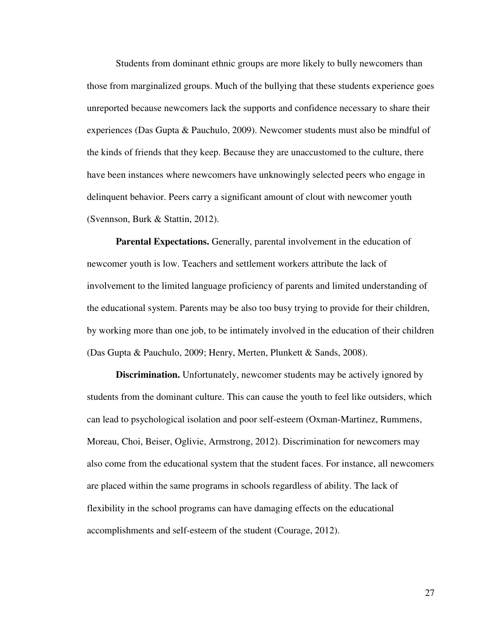Students from dominant ethnic groups are more likely to bully newcomers than those from marginalized groups. Much of the bullying that these students experience goes unreported because newcomers lack the supports and confidence necessary to share their experiences (Das Gupta & Pauchulo, 2009). Newcomer students must also be mindful of the kinds of friends that they keep. Because they are unaccustomed to the culture, there have been instances where newcomers have unknowingly selected peers who engage in delinquent behavior. Peers carry a significant amount of clout with newcomer youth (Svennson, Burk & Stattin, 2012).

**Parental Expectations.** Generally, parental involvement in the education of newcomer youth is low. Teachers and settlement workers attribute the lack of involvement to the limited language proficiency of parents and limited understanding of the educational system. Parents may be also too busy trying to provide for their children, by working more than one job, to be intimately involved in the education of their children (Das Gupta & Pauchulo, 2009; Henry, Merten, Plunkett & Sands, 2008).

**Discrimination.** Unfortunately, newcomer students may be actively ignored by students from the dominant culture. This can cause the youth to feel like outsiders, which can lead to psychological isolation and poor self-esteem (Oxman-Martinez, Rummens, Moreau, Choi, Beiser, Oglivie, Armstrong, 2012). Discrimination for newcomers may also come from the educational system that the student faces. For instance, all newcomers are placed within the same programs in schools regardless of ability. The lack of flexibility in the school programs can have damaging effects on the educational accomplishments and self-esteem of the student (Courage, 2012).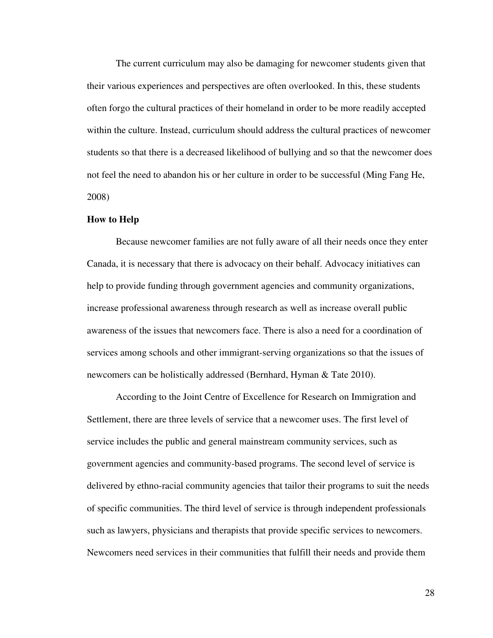The current curriculum may also be damaging for newcomer students given that their various experiences and perspectives are often overlooked. In this, these students often forgo the cultural practices of their homeland in order to be more readily accepted within the culture. Instead, curriculum should address the cultural practices of newcomer students so that there is a decreased likelihood of bullying and so that the newcomer does not feel the need to abandon his or her culture in order to be successful (Ming Fang He, 2008)

#### **How to Help**

Because newcomer families are not fully aware of all their needs once they enter Canada, it is necessary that there is advocacy on their behalf. Advocacy initiatives can help to provide funding through government agencies and community organizations, increase professional awareness through research as well as increase overall public awareness of the issues that newcomers face. There is also a need for a coordination of services among schools and other immigrant-serving organizations so that the issues of newcomers can be holistically addressed (Bernhard, Hyman & Tate 2010).

According to the Joint Centre of Excellence for Research on Immigration and Settlement, there are three levels of service that a newcomer uses. The first level of service includes the public and general mainstream community services, such as government agencies and community-based programs. The second level of service is delivered by ethno-racial community agencies that tailor their programs to suit the needs of specific communities. The third level of service is through independent professionals such as lawyers, physicians and therapists that provide specific services to newcomers. Newcomers need services in their communities that fulfill their needs and provide them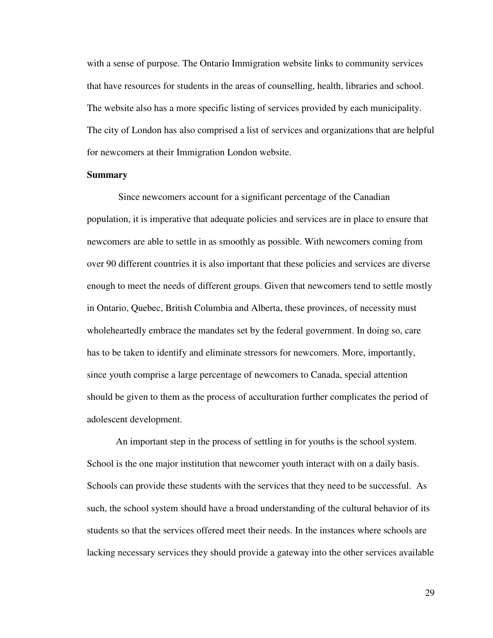with a sense of purpose. The Ontario Immigration website links to community services that have resources for students in the areas of counselling, health, libraries and school. The website also has a more specific listing of services provided by each municipality. The city of London has also comprised a list of services and organizations that are helpful for newcomers at their Immigration London website.

# **Summary**

 Since newcomers account for a significant percentage of the Canadian population, it is imperative that adequate policies and services are in place to ensure that newcomers are able to settle in as smoothly as possible. With newcomers coming from over 90 different countries it is also important that these policies and services are diverse enough to meet the needs of different groups. Given that newcomers tend to settle mostly in Ontario, Quebec, British Columbia and Alberta, these provinces, of necessity must wholeheartedly embrace the mandates set by the federal government. In doing so, care has to be taken to identify and eliminate stressors for newcomers. More, importantly, since youth comprise a large percentage of newcomers to Canada, special attention should be given to them as the process of acculturation further complicates the period of adolescent development.

 An important step in the process of settling in for youths is the school system. School is the one major institution that newcomer youth interact with on a daily basis. Schools can provide these students with the services that they need to be successful. As such, the school system should have a broad understanding of the cultural behavior of its students so that the services offered meet their needs. In the instances where schools are lacking necessary services they should provide a gateway into the other services available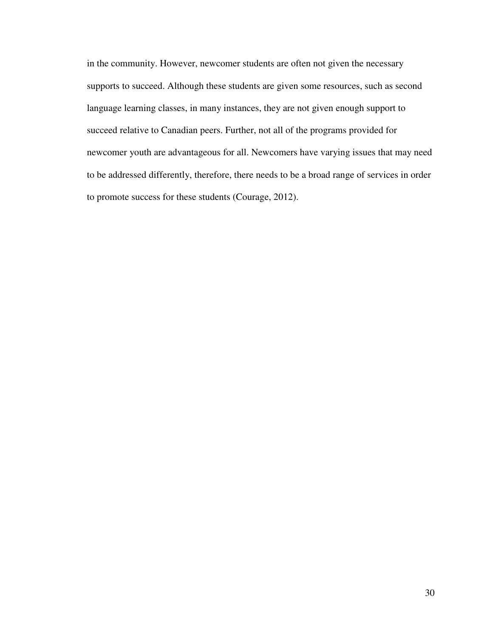in the community. However, newcomer students are often not given the necessary supports to succeed. Although these students are given some resources, such as second language learning classes, in many instances, they are not given enough support to succeed relative to Canadian peers. Further, not all of the programs provided for newcomer youth are advantageous for all. Newcomers have varying issues that may need to be addressed differently, therefore, there needs to be a broad range of services in order to promote success for these students (Courage, 2012).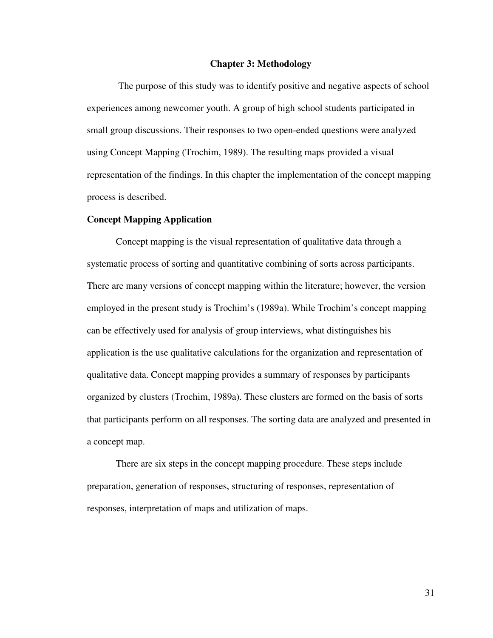# **Chapter 3: Methodology**

The purpose of this study was to identify positive and negative aspects of school experiences among newcomer youth. A group of high school students participated in small group discussions. Their responses to two open-ended questions were analyzed using Concept Mapping (Trochim, 1989). The resulting maps provided a visual representation of the findings. In this chapter the implementation of the concept mapping process is described.

#### **Concept Mapping Application**

Concept mapping is the visual representation of qualitative data through a systematic process of sorting and quantitative combining of sorts across participants. There are many versions of concept mapping within the literature; however, the version employed in the present study is Trochim's (1989a). While Trochim's concept mapping can be effectively used for analysis of group interviews, what distinguishes his application is the use qualitative calculations for the organization and representation of qualitative data. Concept mapping provides a summary of responses by participants organized by clusters (Trochim, 1989a). These clusters are formed on the basis of sorts that participants perform on all responses. The sorting data are analyzed and presented in a concept map.

There are six steps in the concept mapping procedure. These steps include preparation, generation of responses, structuring of responses, representation of responses, interpretation of maps and utilization of maps.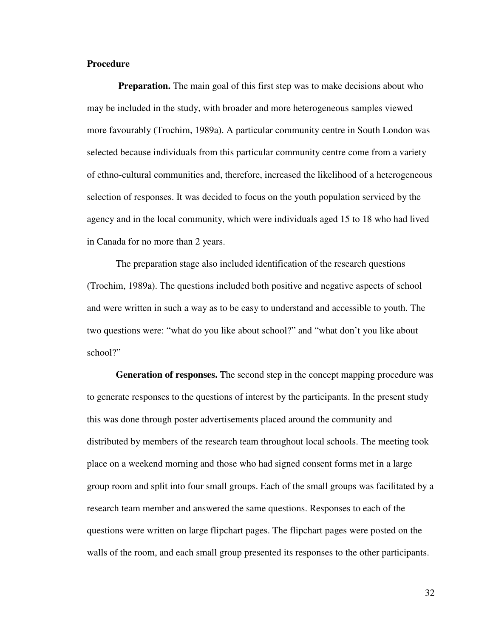# **Procedure**

**Preparation.** The main goal of this first step was to make decisions about who may be included in the study, with broader and more heterogeneous samples viewed more favourably (Trochim, 1989a). A particular community centre in South London was selected because individuals from this particular community centre come from a variety of ethno-cultural communities and, therefore, increased the likelihood of a heterogeneous selection of responses. It was decided to focus on the youth population serviced by the agency and in the local community, which were individuals aged 15 to 18 who had lived in Canada for no more than 2 years.

The preparation stage also included identification of the research questions (Trochim, 1989a). The questions included both positive and negative aspects of school and were written in such a way as to be easy to understand and accessible to youth. The two questions were: "what do you like about school?" and "what don't you like about school?"

**Generation of responses.** The second step in the concept mapping procedure was to generate responses to the questions of interest by the participants. In the present study this was done through poster advertisements placed around the community and distributed by members of the research team throughout local schools. The meeting took place on a weekend morning and those who had signed consent forms met in a large group room and split into four small groups. Each of the small groups was facilitated by a research team member and answered the same questions. Responses to each of the questions were written on large flipchart pages. The flipchart pages were posted on the walls of the room, and each small group presented its responses to the other participants.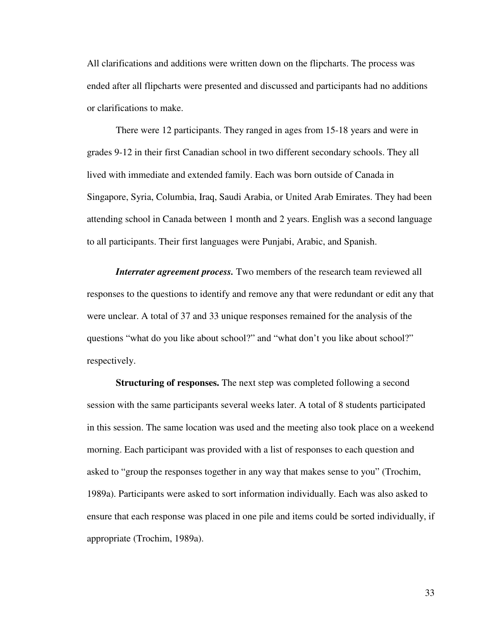All clarifications and additions were written down on the flipcharts. The process was ended after all flipcharts were presented and discussed and participants had no additions or clarifications to make.

 There were 12 participants. They ranged in ages from 15-18 years and were in grades 9-12 in their first Canadian school in two different secondary schools. They all lived with immediate and extended family. Each was born outside of Canada in Singapore, Syria, Columbia, Iraq, Saudi Arabia, or United Arab Emirates. They had been attending school in Canada between 1 month and 2 years. English was a second language to all participants. Their first languages were Punjabi, Arabic, and Spanish.

*Interrater agreement process.* Two members of the research team reviewed all responses to the questions to identify and remove any that were redundant or edit any that were unclear. A total of 37 and 33 unique responses remained for the analysis of the questions "what do you like about school?" and "what don't you like about school?" respectively.

**Structuring of responses.** The next step was completed following a second session with the same participants several weeks later. A total of 8 students participated in this session. The same location was used and the meeting also took place on a weekend morning. Each participant was provided with a list of responses to each question and asked to "group the responses together in any way that makes sense to you" (Trochim, 1989a). Participants were asked to sort information individually. Each was also asked to ensure that each response was placed in one pile and items could be sorted individually, if appropriate (Trochim, 1989a).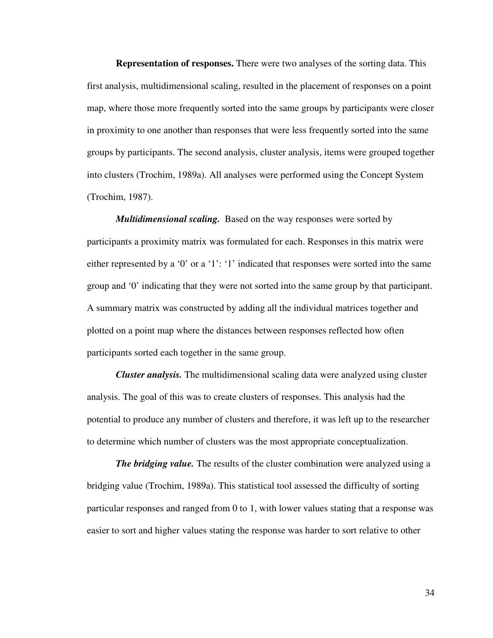**Representation of responses.** There were two analyses of the sorting data. This first analysis, multidimensional scaling, resulted in the placement of responses on a point map, where those more frequently sorted into the same groups by participants were closer in proximity to one another than responses that were less frequently sorted into the same groups by participants. The second analysis, cluster analysis, items were grouped together into clusters (Trochim, 1989a). All analyses were performed using the Concept System (Trochim, 1987).

*Multidimensional scaling.* Based on the way responses were sorted by participants a proximity matrix was formulated for each. Responses in this matrix were either represented by a '0' or a '1': '1' indicated that responses were sorted into the same group and '0' indicating that they were not sorted into the same group by that participant. A summary matrix was constructed by adding all the individual matrices together and plotted on a point map where the distances between responses reflected how often participants sorted each together in the same group.

*Cluster analysis.* The multidimensional scaling data were analyzed using cluster analysis. The goal of this was to create clusters of responses. This analysis had the potential to produce any number of clusters and therefore, it was left up to the researcher to determine which number of clusters was the most appropriate conceptualization.

*The bridging value.* The results of the cluster combination were analyzed using a bridging value (Trochim, 1989a). This statistical tool assessed the difficulty of sorting particular responses and ranged from 0 to 1, with lower values stating that a response was easier to sort and higher values stating the response was harder to sort relative to other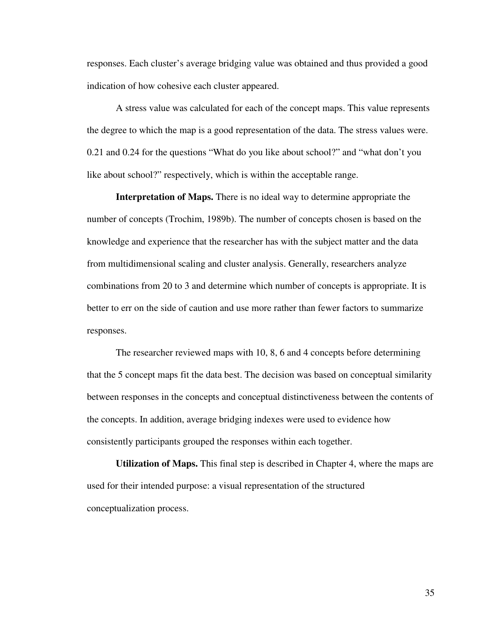responses. Each cluster's average bridging value was obtained and thus provided a good indication of how cohesive each cluster appeared.

A stress value was calculated for each of the concept maps. This value represents the degree to which the map is a good representation of the data. The stress values were. 0.21 and 0.24 for the questions "What do you like about school?" and "what don't you like about school?" respectively, which is within the acceptable range.

**Interpretation of Maps.** There is no ideal way to determine appropriate the number of concepts (Trochim, 1989b). The number of concepts chosen is based on the knowledge and experience that the researcher has with the subject matter and the data from multidimensional scaling and cluster analysis. Generally, researchers analyze combinations from 20 to 3 and determine which number of concepts is appropriate. It is better to err on the side of caution and use more rather than fewer factors to summarize responses.

The researcher reviewed maps with 10, 8, 6 and 4 concepts before determining that the 5 concept maps fit the data best. The decision was based on conceptual similarity between responses in the concepts and conceptual distinctiveness between the contents of the concepts. In addition, average bridging indexes were used to evidence how consistently participants grouped the responses within each together.

**Utilization of Maps.** This final step is described in Chapter 4, where the maps are used for their intended purpose: a visual representation of the structured conceptualization process.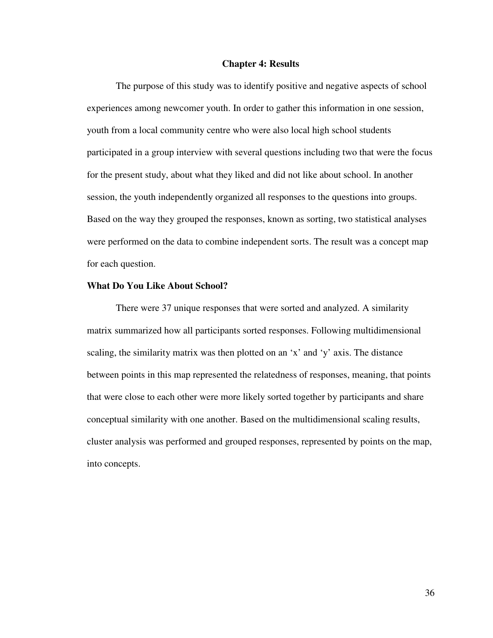# **Chapter 4: Results**

The purpose of this study was to identify positive and negative aspects of school experiences among newcomer youth. In order to gather this information in one session, youth from a local community centre who were also local high school students participated in a group interview with several questions including two that were the focus for the present study, about what they liked and did not like about school. In another session, the youth independently organized all responses to the questions into groups. Based on the way they grouped the responses, known as sorting, two statistical analyses were performed on the data to combine independent sorts. The result was a concept map for each question.

# **What Do You Like About School?**

There were 37 unique responses that were sorted and analyzed. A similarity matrix summarized how all participants sorted responses. Following multidimensional scaling, the similarity matrix was then plotted on an 'x' and 'y' axis. The distance between points in this map represented the relatedness of responses, meaning, that points that were close to each other were more likely sorted together by participants and share conceptual similarity with one another. Based on the multidimensional scaling results, cluster analysis was performed and grouped responses, represented by points on the map, into concepts.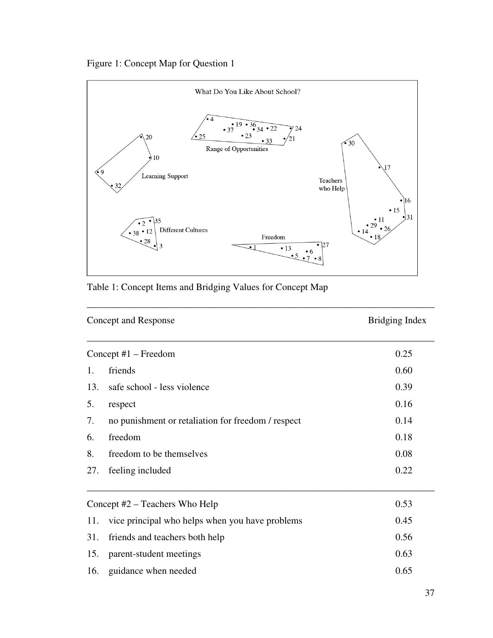Figure 1: Concept Map for Question 1



Table 1: Concept Items and Bridging Values for Concept Map

| Concept and Response                   |                                                    | Bridging Index |
|----------------------------------------|----------------------------------------------------|----------------|
| Concept $#1$ – Freedom                 |                                                    | 0.25           |
| 1.                                     | friends                                            | 0.60           |
| 13.                                    | safe school - less violence                        | 0.39           |
| 5.                                     | respect                                            | 0.16           |
| 7.                                     | no punishment or retaliation for freedom / respect | 0.14           |
| 6.                                     | freedom                                            | 0.18           |
| 8.                                     | freedom to be themselves                           | 0.08           |
| 27.                                    | feeling included                                   | 0.22           |
| 0.53<br>Concept #2 – Teachers Who Help |                                                    |                |
| 11.                                    | vice principal who helps when you have problems    | 0.45           |
| 31.                                    | friends and teachers both help                     | 0.56           |
| 15.                                    | parent-student meetings                            | 0.63           |
| 16.                                    | guidance when needed                               | 0.65           |

\_\_\_\_\_\_\_\_\_\_\_\_\_\_\_\_\_\_\_\_\_\_\_\_\_\_\_\_\_\_\_\_\_\_\_\_\_\_\_\_\_\_\_\_\_\_\_\_\_\_\_\_\_\_\_\_\_\_\_\_\_\_\_\_\_\_\_\_\_\_\_\_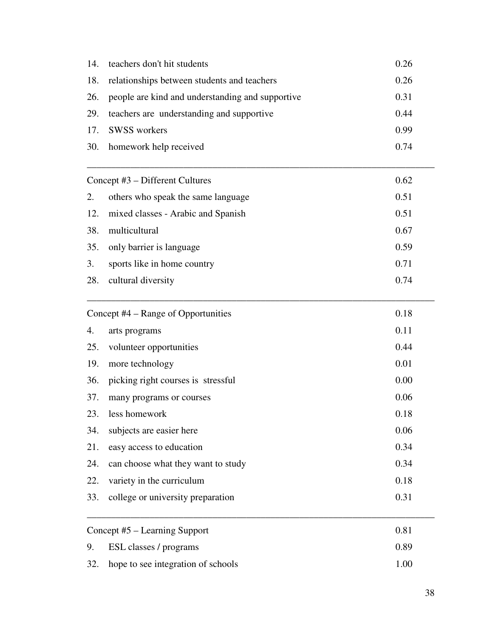| 14.                             | teachers don't hit students                      | 0.26 |  |
|---------------------------------|--------------------------------------------------|------|--|
| 18.                             | relationships between students and teachers      | 0.26 |  |
| 26.                             | people are kind and understanding and supportive | 0.31 |  |
| 29.                             | teachers are understanding and supportive        | 0.44 |  |
| 17.                             | <b>SWSS</b> workers                              | 0.99 |  |
| 30.                             | homework help received                           | 0.74 |  |
| Concept #3 – Different Cultures |                                                  | 0.62 |  |
| 2.                              | others who speak the same language               | 0.51 |  |
| 12.                             | mixed classes - Arabic and Spanish               | 0.51 |  |
| 38.                             | multicultural                                    | 0.67 |  |
| 35.                             | only barrier is language                         | 0.59 |  |
| 3.                              | sports like in home country                      | 0.71 |  |
| 28.                             | cultural diversity                               | 0.74 |  |
|                                 | Concept #4 – Range of Opportunities<br>0.18      |      |  |
| 4.                              | arts programs                                    | 0.11 |  |
| 25.                             | volunteer opportunities                          | 0.44 |  |
| 19.                             | more technology                                  | 0.01 |  |
| 36.                             | picking right courses is stressful               | 0.00 |  |
| 37.                             | many programs or courses                         | 0.06 |  |
| 23.                             | less homework                                    | 0.18 |  |
| 34.                             | subjects are easier here                         | 0.06 |  |
| 21.                             | easy access to education                         | 0.34 |  |
| 24.                             | can choose what they want to study               | 0.34 |  |
| 22.                             | variety in the curriculum                        | 0.18 |  |
| 33.                             | college or university preparation                | 0.31 |  |
|                                 | 0.81<br>Concept #5 – Learning Support            |      |  |
| 9.                              | ESL classes / programs                           | 0.89 |  |
| 32.                             | hope to see integration of schools               | 1.00 |  |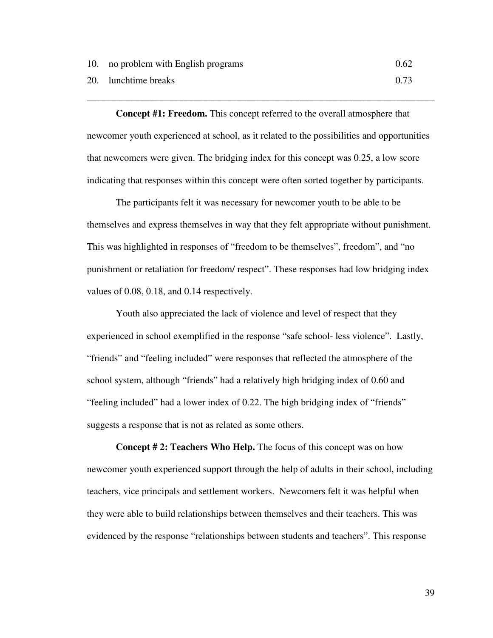20. lunchtime breaks 0.73

**Concept #1: Freedom.** This concept referred to the overall atmosphere that newcomer youth experienced at school, as it related to the possibilities and opportunities that newcomers were given. The bridging index for this concept was 0.25, a low score indicating that responses within this concept were often sorted together by participants.

\_\_\_\_\_\_\_\_\_\_\_\_\_\_\_\_\_\_\_\_\_\_\_\_\_\_\_\_\_\_\_\_\_\_\_\_\_\_\_\_\_\_\_\_\_\_\_\_\_\_\_\_\_\_\_\_\_\_\_\_\_\_\_\_\_\_\_\_\_\_\_\_

The participants felt it was necessary for newcomer youth to be able to be themselves and express themselves in way that they felt appropriate without punishment. This was highlighted in responses of "freedom to be themselves", freedom", and "no punishment or retaliation for freedom/ respect". These responses had low bridging index values of 0.08, 0.18, and 0.14 respectively.

Youth also appreciated the lack of violence and level of respect that they experienced in school exemplified in the response "safe school- less violence". Lastly, "friends" and "feeling included" were responses that reflected the atmosphere of the school system, although "friends" had a relatively high bridging index of 0.60 and "feeling included" had a lower index of 0.22. The high bridging index of "friends" suggests a response that is not as related as some others.

**Concept # 2: Teachers Who Help.** The focus of this concept was on how newcomer youth experienced support through the help of adults in their school, including teachers, vice principals and settlement workers. Newcomers felt it was helpful when they were able to build relationships between themselves and their teachers. This was evidenced by the response "relationships between students and teachers". This response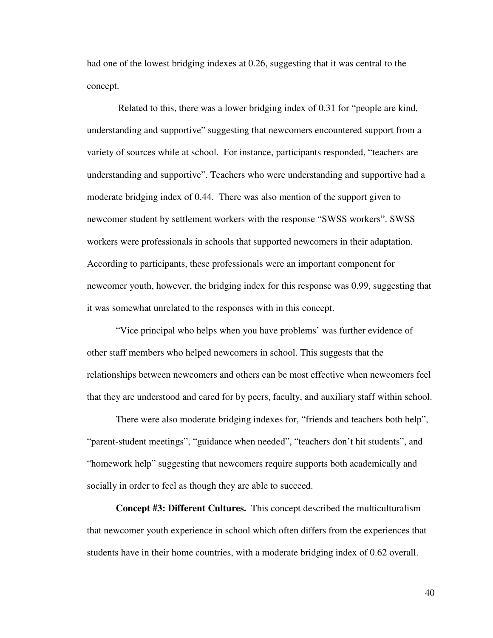had one of the lowest bridging indexes at 0.26, suggesting that it was central to the concept.

 Related to this, there was a lower bridging index of 0.31 for "people are kind, understanding and supportive" suggesting that newcomers encountered support from a variety of sources while at school. For instance, participants responded, "teachers are understanding and supportive". Teachers who were understanding and supportive had a moderate bridging index of 0.44. There was also mention of the support given to newcomer student by settlement workers with the response "SWSS workers". SWSS workers were professionals in schools that supported newcomers in their adaptation. According to participants, these professionals were an important component for newcomer youth, however, the bridging index for this response was 0.99, suggesting that it was somewhat unrelated to the responses with in this concept.

"Vice principal who helps when you have problems' was further evidence of other staff members who helped newcomers in school. This suggests that the relationships between newcomers and others can be most effective when newcomers feel that they are understood and cared for by peers, faculty, and auxiliary staff within school.

There were also moderate bridging indexes for, "friends and teachers both help", "parent-student meetings", "guidance when needed", "teachers don't hit students", and "homework help" suggesting that newcomers require supports both academically and socially in order to feel as though they are able to succeed.

**Concept #3: Different Cultures.** This concept described the multiculturalism that newcomer youth experience in school which often differs from the experiences that students have in their home countries, with a moderate bridging index of 0.62 overall.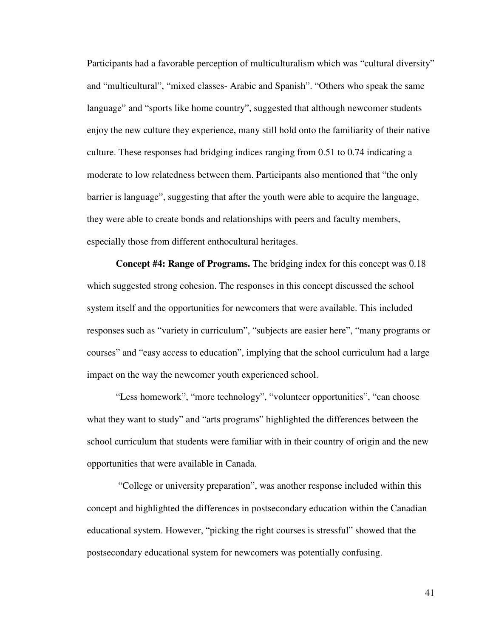Participants had a favorable perception of multiculturalism which was "cultural diversity" and "multicultural", "mixed classes- Arabic and Spanish". "Others who speak the same language" and "sports like home country", suggested that although newcomer students enjoy the new culture they experience, many still hold onto the familiarity of their native culture. These responses had bridging indices ranging from 0.51 to 0.74 indicating a moderate to low relatedness between them. Participants also mentioned that "the only barrier is language", suggesting that after the youth were able to acquire the language, they were able to create bonds and relationships with peers and faculty members, especially those from different enthocultural heritages.

**Concept #4: Range of Programs.** The bridging index for this concept was 0.18 which suggested strong cohesion. The responses in this concept discussed the school system itself and the opportunities for newcomers that were available. This included responses such as "variety in curriculum", "subjects are easier here", "many programs or courses" and "easy access to education", implying that the school curriculum had a large impact on the way the newcomer youth experienced school.

"Less homework", "more technology", "volunteer opportunities", "can choose what they want to study" and "arts programs" highlighted the differences between the school curriculum that students were familiar with in their country of origin and the new opportunities that were available in Canada.

 "College or university preparation", was another response included within this concept and highlighted the differences in postsecondary education within the Canadian educational system. However, "picking the right courses is stressful" showed that the postsecondary educational system for newcomers was potentially confusing.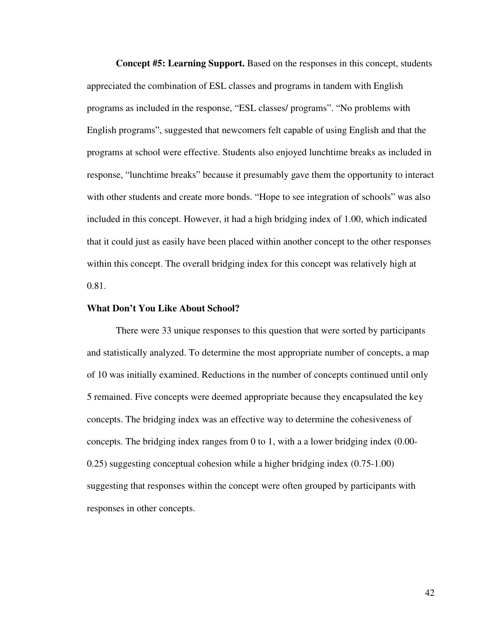**Concept #5: Learning Support.** Based on the responses in this concept, students appreciated the combination of ESL classes and programs in tandem with English programs as included in the response, "ESL classes/ programs". "No problems with English programs", suggested that newcomers felt capable of using English and that the programs at school were effective. Students also enjoyed lunchtime breaks as included in response, "lunchtime breaks" because it presumably gave them the opportunity to interact with other students and create more bonds. "Hope to see integration of schools" was also included in this concept. However, it had a high bridging index of 1.00, which indicated that it could just as easily have been placed within another concept to the other responses within this concept. The overall bridging index for this concept was relatively high at 0.81.

# **What Don't You Like About School?**

There were 33 unique responses to this question that were sorted by participants and statistically analyzed. To determine the most appropriate number of concepts, a map of 10 was initially examined. Reductions in the number of concepts continued until only 5 remained. Five concepts were deemed appropriate because they encapsulated the key concepts. The bridging index was an effective way to determine the cohesiveness of concepts. The bridging index ranges from 0 to 1, with a a lower bridging index (0.00- 0.25) suggesting conceptual cohesion while a higher bridging index (0.75-1.00) suggesting that responses within the concept were often grouped by participants with responses in other concepts.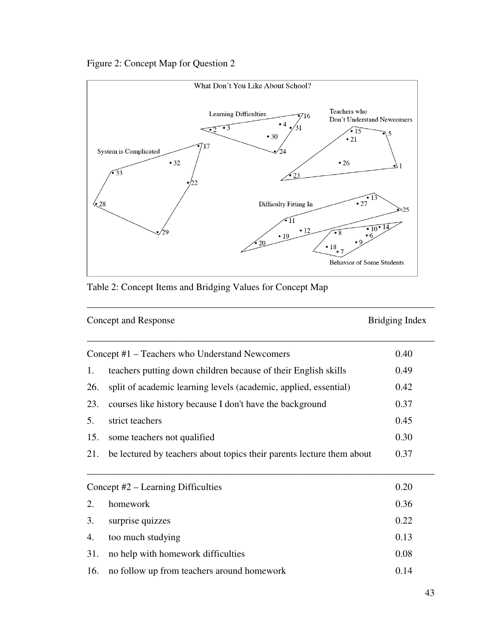Figure 2: Concept Map for Question 2



# Table 2: Concept Items and Bridging Values for Concept Map

| Concept and Response |                                                                       | Bridging Index |  |
|----------------------|-----------------------------------------------------------------------|----------------|--|
|                      | Concept #1 – Teachers who Understand Newcomers                        | 0.40           |  |
| 1.                   | teachers putting down children because of their English skills        | 0.49           |  |
| 26.                  | split of academic learning levels (academic, applied, essential)      | 0.42           |  |
| 23.                  | courses like history because I don't have the background              | 0.37           |  |
| 5.                   | strict teachers                                                       | 0.45           |  |
| 15.                  | some teachers not qualified                                           | 0.30           |  |
| 21.                  | be lectured by teachers about topics their parents lecture them about | 0.37           |  |
|                      | Concept $#2$ – Learning Difficulties                                  | 0.20           |  |
| 2.                   | homework                                                              | 0.36           |  |
| 3.                   | surprise quizzes                                                      | 0.22           |  |
| 4.                   | too much studying                                                     | 0.13           |  |
| 31.                  | no help with homework difficulties                                    | 0.08           |  |
| 16.                  | no follow up from teachers around homework                            | 0.14           |  |

\_\_\_\_\_\_\_\_\_\_\_\_\_\_\_\_\_\_\_\_\_\_\_\_\_\_\_\_\_\_\_\_\_\_\_\_\_\_\_\_\_\_\_\_\_\_\_\_\_\_\_\_\_\_\_\_\_\_\_\_\_\_\_\_\_\_\_\_\_\_\_\_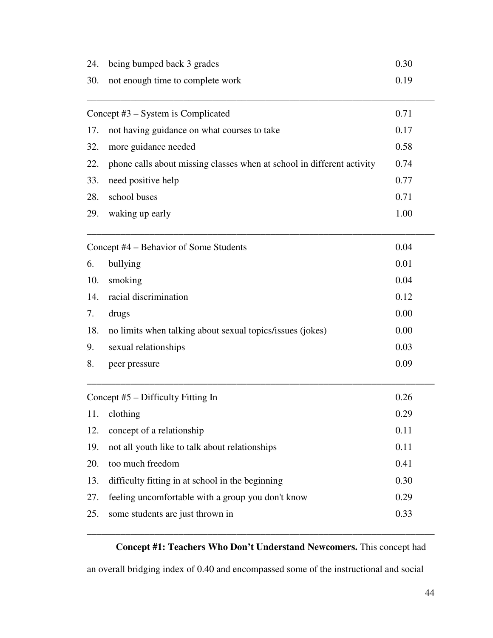| 24.                                | being bumped back 3 grades                                             | 0.30 |
|------------------------------------|------------------------------------------------------------------------|------|
| 30.                                | not enough time to complete work                                       | 0.19 |
|                                    |                                                                        |      |
| Concept #3 - System is Complicated |                                                                        | 0.71 |
| 17.                                | not having guidance on what courses to take                            | 0.17 |
| 32.                                | more guidance needed                                                   | 0.58 |
| 22.                                | phone calls about missing classes when at school in different activity | 0.74 |
| 33.                                | need positive help                                                     | 0.77 |
| 28.                                | school buses                                                           | 0.71 |
| 29.                                | waking up early                                                        | 1.00 |
|                                    |                                                                        |      |
|                                    | Concept #4 – Behavior of Some Students                                 | 0.04 |
| 6.                                 | bullying                                                               | 0.01 |
| 10.                                | smoking                                                                | 0.04 |
| 14.                                | racial discrimination                                                  | 0.12 |
| 7.                                 | drugs                                                                  | 0.00 |
| 18.                                | no limits when talking about sexual topics/issues (jokes)              | 0.00 |
| 9.                                 | sexual relationships                                                   | 0.03 |
| 8.                                 | peer pressure                                                          | 0.09 |
|                                    |                                                                        |      |
|                                    | Concept #5 – Difficulty Fitting In                                     | 0.26 |
|                                    | 11. clothing                                                           | 0.29 |
| 12.                                | concept of a relationship                                              | 0.11 |
| 19.                                | not all youth like to talk about relationships                         | 0.11 |
| 20.                                | too much freedom                                                       | 0.41 |
| 13.                                | difficulty fitting in at school in the beginning                       | 0.30 |
| 27.                                | feeling uncomfortable with a group you don't know                      | 0.29 |
| 25.                                | some students are just thrown in                                       | 0.33 |
|                                    |                                                                        |      |

# **Concept #1: Teachers Who Don't Understand Newcomers.** This concept had

an overall bridging index of 0.40 and encompassed some of the instructional and social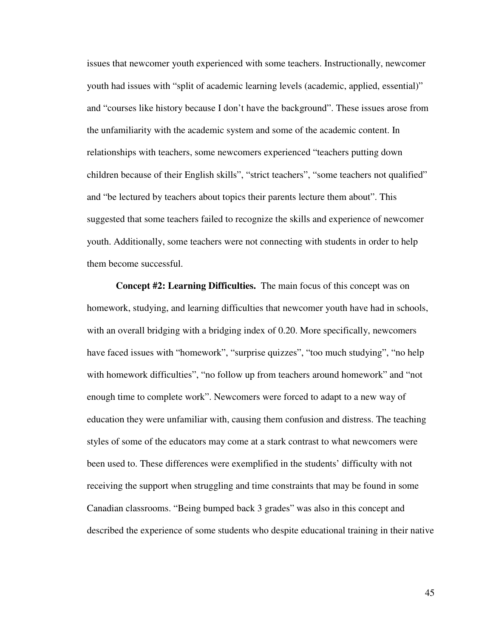issues that newcomer youth experienced with some teachers. Instructionally, newcomer youth had issues with "split of academic learning levels (academic, applied, essential)" and "courses like history because I don't have the background". These issues arose from the unfamiliarity with the academic system and some of the academic content. In relationships with teachers, some newcomers experienced "teachers putting down children because of their English skills", "strict teachers", "some teachers not qualified" and "be lectured by teachers about topics their parents lecture them about". This suggested that some teachers failed to recognize the skills and experience of newcomer youth. Additionally, some teachers were not connecting with students in order to help them become successful.

 **Concept #2: Learning Difficulties.** The main focus of this concept was on homework, studying, and learning difficulties that newcomer youth have had in schools, with an overall bridging with a bridging index of 0.20. More specifically, newcomers have faced issues with "homework", "surprise quizzes", "too much studying", "no help with homework difficulties", "no follow up from teachers around homework" and "not enough time to complete work". Newcomers were forced to adapt to a new way of education they were unfamiliar with, causing them confusion and distress. The teaching styles of some of the educators may come at a stark contrast to what newcomers were been used to. These differences were exemplified in the students' difficulty with not receiving the support when struggling and time constraints that may be found in some Canadian classrooms. "Being bumped back 3 grades" was also in this concept and described the experience of some students who despite educational training in their native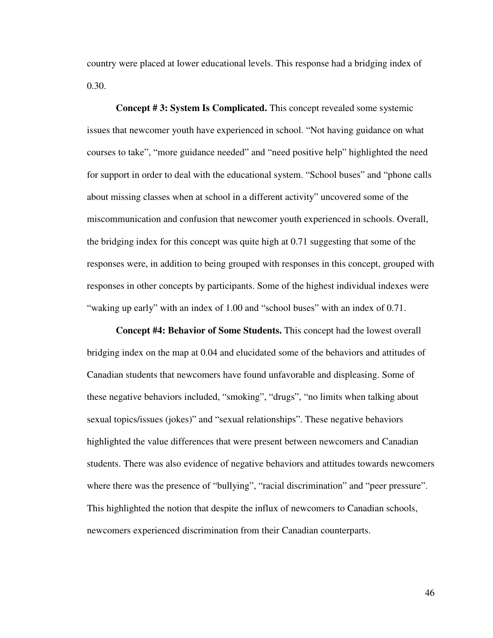country were placed at lower educational levels. This response had a bridging index of 0.30.

**Concept # 3: System Is Complicated.** This concept revealed some systemic issues that newcomer youth have experienced in school. "Not having guidance on what courses to take", "more guidance needed" and "need positive help" highlighted the need for support in order to deal with the educational system. "School buses" and "phone calls about missing classes when at school in a different activity" uncovered some of the miscommunication and confusion that newcomer youth experienced in schools. Overall, the bridging index for this concept was quite high at 0.71 suggesting that some of the responses were, in addition to being grouped with responses in this concept, grouped with responses in other concepts by participants. Some of the highest individual indexes were "waking up early" with an index of 1.00 and "school buses" with an index of 0.71.

**Concept #4: Behavior of Some Students.** This concept had the lowest overall bridging index on the map at 0.04 and elucidated some of the behaviors and attitudes of Canadian students that newcomers have found unfavorable and displeasing. Some of these negative behaviors included, "smoking", "drugs", "no limits when talking about sexual topics/issues (jokes)" and "sexual relationships". These negative behaviors highlighted the value differences that were present between newcomers and Canadian students. There was also evidence of negative behaviors and attitudes towards newcomers where there was the presence of "bullying", "racial discrimination" and "peer pressure". This highlighted the notion that despite the influx of newcomers to Canadian schools, newcomers experienced discrimination from their Canadian counterparts.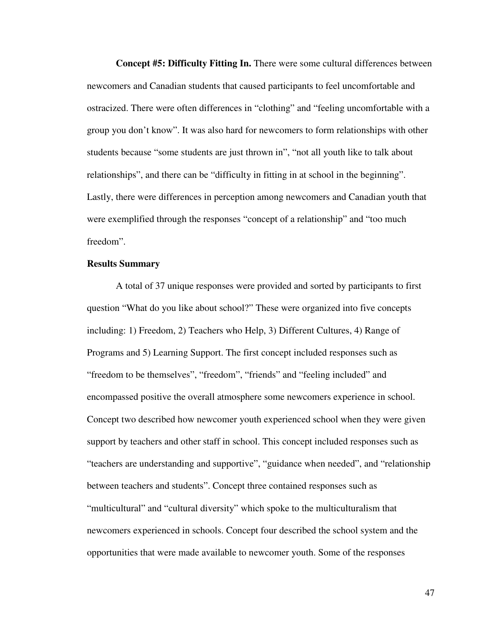**Concept #5: Difficulty Fitting In.** There were some cultural differences between newcomers and Canadian students that caused participants to feel uncomfortable and ostracized. There were often differences in "clothing" and "feeling uncomfortable with a group you don't know". It was also hard for newcomers to form relationships with other students because "some students are just thrown in", "not all youth like to talk about relationships", and there can be "difficulty in fitting in at school in the beginning". Lastly, there were differences in perception among newcomers and Canadian youth that were exemplified through the responses "concept of a relationship" and "too much freedom".

### **Results Summary**

A total of 37 unique responses were provided and sorted by participants to first question "What do you like about school?" These were organized into five concepts including: 1) Freedom, 2) Teachers who Help, 3) Different Cultures, 4) Range of Programs and 5) Learning Support. The first concept included responses such as "freedom to be themselves", "freedom", "friends" and "feeling included" and encompassed positive the overall atmosphere some newcomers experience in school. Concept two described how newcomer youth experienced school when they were given support by teachers and other staff in school. This concept included responses such as "teachers are understanding and supportive", "guidance when needed", and "relationship between teachers and students". Concept three contained responses such as "multicultural" and "cultural diversity" which spoke to the multiculturalism that newcomers experienced in schools. Concept four described the school system and the opportunities that were made available to newcomer youth. Some of the responses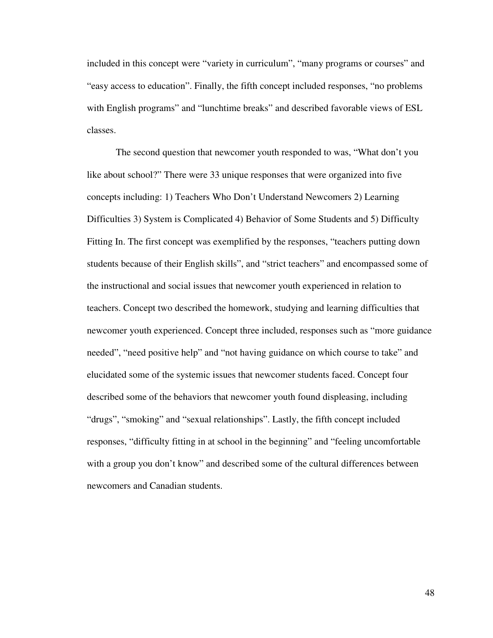included in this concept were "variety in curriculum", "many programs or courses" and "easy access to education". Finally, the fifth concept included responses, "no problems with English programs" and "lunchtime breaks" and described favorable views of ESL classes.

The second question that newcomer youth responded to was, "What don't you like about school?" There were 33 unique responses that were organized into five concepts including: 1) Teachers Who Don't Understand Newcomers 2) Learning Difficulties 3) System is Complicated 4) Behavior of Some Students and 5) Difficulty Fitting In. The first concept was exemplified by the responses, "teachers putting down students because of their English skills", and "strict teachers" and encompassed some of the instructional and social issues that newcomer youth experienced in relation to teachers. Concept two described the homework, studying and learning difficulties that newcomer youth experienced. Concept three included, responses such as "more guidance needed", "need positive help" and "not having guidance on which course to take" and elucidated some of the systemic issues that newcomer students faced. Concept four described some of the behaviors that newcomer youth found displeasing, including "drugs", "smoking" and "sexual relationships". Lastly, the fifth concept included responses, "difficulty fitting in at school in the beginning" and "feeling uncomfortable with a group you don't know" and described some of the cultural differences between newcomers and Canadian students.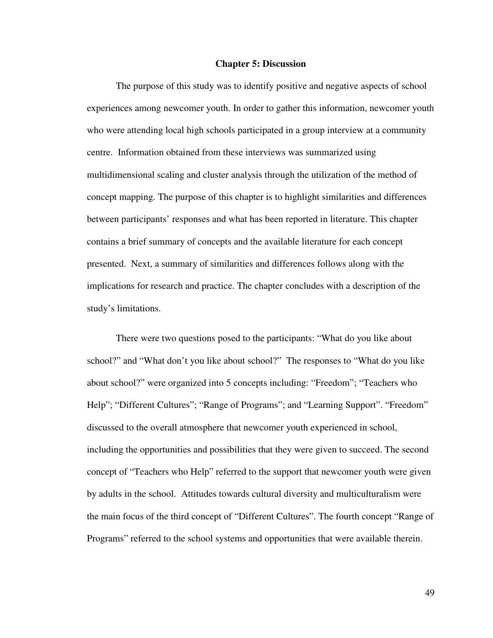#### **Chapter 5: Discussion**

The purpose of this study was to identify positive and negative aspects of school experiences among newcomer youth. In order to gather this information, newcomer youth who were attending local high schools participated in a group interview at a community centre. Information obtained from these interviews was summarized using multidimensional scaling and cluster analysis through the utilization of the method of concept mapping. The purpose of this chapter is to highlight similarities and differences between participants' responses and what has been reported in literature. This chapter contains a brief summary of concepts and the available literature for each concept presented. Next, a summary of similarities and differences follows along with the implications for research and practice. The chapter concludes with a description of the study's limitations.

There were two questions posed to the participants: "What do you like about school?" and "What don't you like about school?" The responses to "What do you like about school?" were organized into 5 concepts including: "Freedom"; "Teachers who Help"; "Different Cultures"; "Range of Programs"; and "Learning Support". "Freedom" discussed to the overall atmosphere that newcomer youth experienced in school, including the opportunities and possibilities that they were given to succeed. The second concept of "Teachers who Help" referred to the support that newcomer youth were given by adults in the school. Attitudes towards cultural diversity and multiculturalism were the main focus of the third concept of "Different Cultures". The fourth concept "Range of Programs" referred to the school systems and opportunities that were available therein.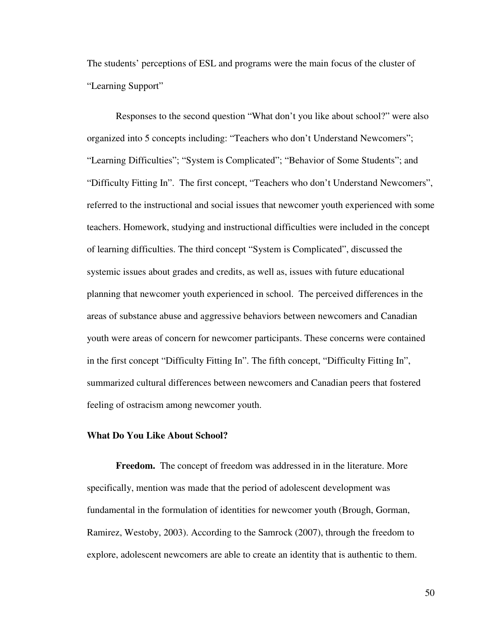The students' perceptions of ESL and programs were the main focus of the cluster of "Learning Support"

Responses to the second question "What don't you like about school?" were also organized into 5 concepts including: "Teachers who don't Understand Newcomers"; "Learning Difficulties"; "System is Complicated"; "Behavior of Some Students"; and "Difficulty Fitting In". The first concept, "Teachers who don't Understand Newcomers", referred to the instructional and social issues that newcomer youth experienced with some teachers. Homework, studying and instructional difficulties were included in the concept of learning difficulties. The third concept "System is Complicated", discussed the systemic issues about grades and credits, as well as, issues with future educational planning that newcomer youth experienced in school. The perceived differences in the areas of substance abuse and aggressive behaviors between newcomers and Canadian youth were areas of concern for newcomer participants. These concerns were contained in the first concept "Difficulty Fitting In". The fifth concept, "Difficulty Fitting In", summarized cultural differences between newcomers and Canadian peers that fostered feeling of ostracism among newcomer youth.

# **What Do You Like About School?**

 **Freedom.** The concept of freedom was addressed in in the literature. More specifically, mention was made that the period of adolescent development was fundamental in the formulation of identities for newcomer youth (Brough, Gorman, Ramirez, Westoby, 2003). According to the Samrock (2007), through the freedom to explore, adolescent newcomers are able to create an identity that is authentic to them.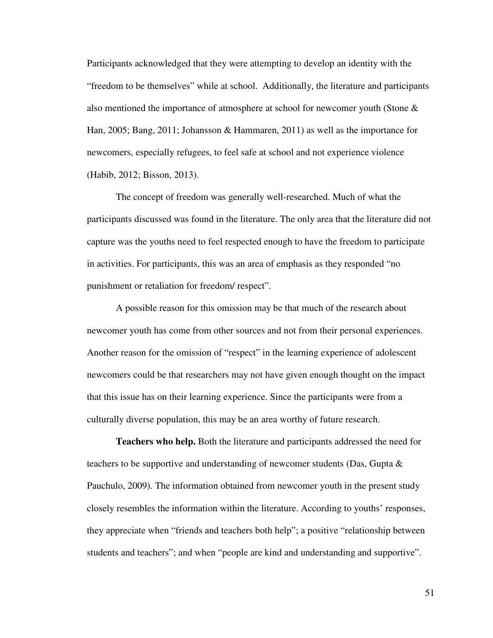Participants acknowledged that they were attempting to develop an identity with the "freedom to be themselves" while at school. Additionally, the literature and participants also mentioned the importance of atmosphere at school for newcomer youth (Stone & Han, 2005; Bang, 2011; Johansson & Hammaren, 2011) as well as the importance for newcomers, especially refugees, to feel safe at school and not experience violence (Habib, 2012; Bisson, 2013).

 The concept of freedom was generally well-researched. Much of what the participants discussed was found in the literature. The only area that the literature did not capture was the youths need to feel respected enough to have the freedom to participate in activities. For participants, this was an area of emphasis as they responded "no punishment or retaliation for freedom/ respect".

A possible reason for this omission may be that much of the research about newcomer youth has come from other sources and not from their personal experiences. Another reason for the omission of "respect" in the learning experience of adolescent newcomers could be that researchers may not have given enough thought on the impact that this issue has on their learning experience. Since the participants were from a culturally diverse population, this may be an area worthy of future research.

 **Teachers who help.** Both the literature and participants addressed the need for teachers to be supportive and understanding of newcomer students (Das, Gupta  $\&$ Pauchulo, 2009). The information obtained from newcomer youth in the present study closely resembles the information within the literature. According to youths' responses, they appreciate when "friends and teachers both help"; a positive "relationship between students and teachers"; and when "people are kind and understanding and supportive".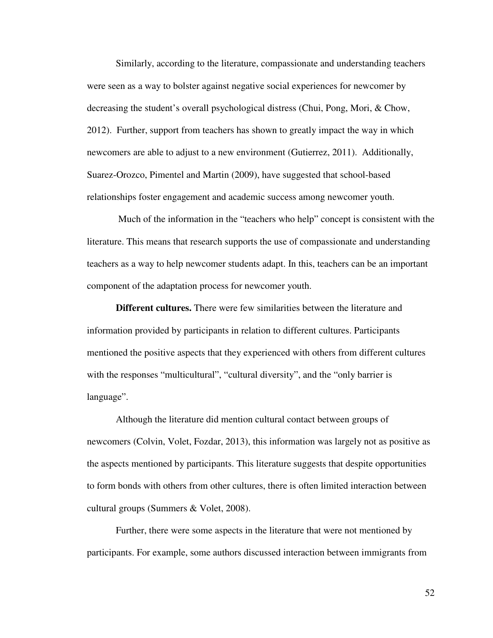Similarly, according to the literature, compassionate and understanding teachers were seen as a way to bolster against negative social experiences for newcomer by decreasing the student's overall psychological distress (Chui, Pong, Mori, & Chow, 2012). Further, support from teachers has shown to greatly impact the way in which newcomers are able to adjust to a new environment (Gutierrez, 2011). Additionally, Suarez-Orozco, Pimentel and Martin (2009), have suggested that school-based relationships foster engagement and academic success among newcomer youth.

 Much of the information in the "teachers who help" concept is consistent with the literature. This means that research supports the use of compassionate and understanding teachers as a way to help newcomer students adapt. In this, teachers can be an important component of the adaptation process for newcomer youth.

 **Different cultures.** There were few similarities between the literature and information provided by participants in relation to different cultures. Participants mentioned the positive aspects that they experienced with others from different cultures with the responses "multicultural", "cultural diversity", and the "only barrier is language".

Although the literature did mention cultural contact between groups of newcomers (Colvin, Volet, Fozdar, 2013), this information was largely not as positive as the aspects mentioned by participants. This literature suggests that despite opportunities to form bonds with others from other cultures, there is often limited interaction between cultural groups (Summers & Volet, 2008).

 Further, there were some aspects in the literature that were not mentioned by participants. For example, some authors discussed interaction between immigrants from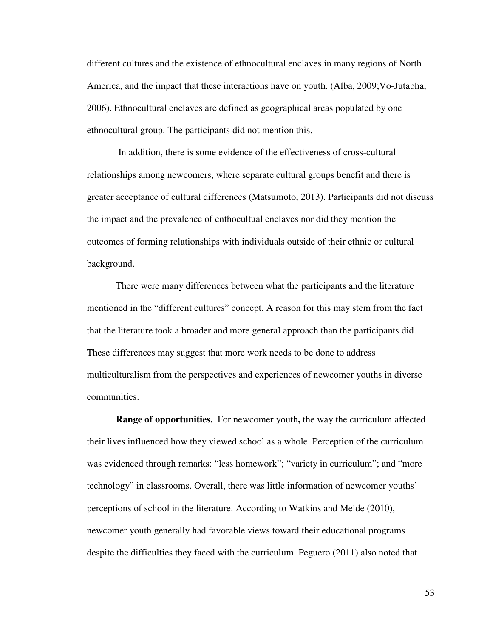different cultures and the existence of ethnocultural enclaves in many regions of North America, and the impact that these interactions have on youth. (Alba, 2009;Vo-Jutabha, 2006). Ethnocultural enclaves are defined as geographical areas populated by one ethnocultural group. The participants did not mention this.

 In addition, there is some evidence of the effectiveness of cross-cultural relationships among newcomers, where separate cultural groups benefit and there is greater acceptance of cultural differences (Matsumoto, 2013). Participants did not discuss the impact and the prevalence of enthocultual enclaves nor did they mention the outcomes of forming relationships with individuals outside of their ethnic or cultural background.

 There were many differences between what the participants and the literature mentioned in the "different cultures" concept. A reason for this may stem from the fact that the literature took a broader and more general approach than the participants did. These differences may suggest that more work needs to be done to address multiculturalism from the perspectives and experiences of newcomer youths in diverse communities.

 **Range of opportunities.** For newcomer youth**,** the way the curriculum affected their lives influenced how they viewed school as a whole. Perception of the curriculum was evidenced through remarks: "less homework"; "variety in curriculum"; and "more technology" in classrooms. Overall, there was little information of newcomer youths' perceptions of school in the literature. According to Watkins and Melde (2010), newcomer youth generally had favorable views toward their educational programs despite the difficulties they faced with the curriculum. Peguero (2011) also noted that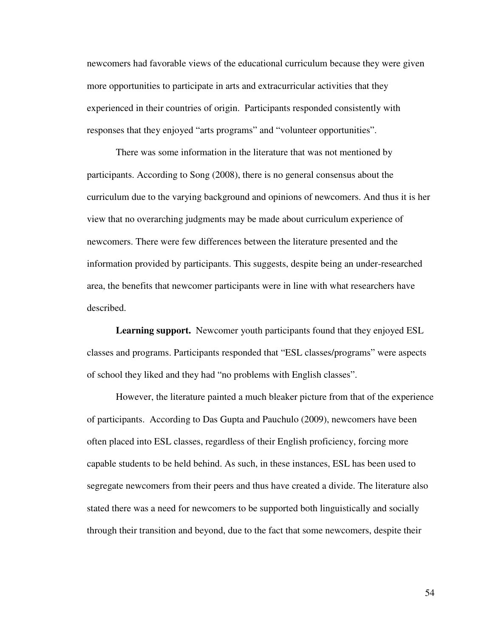newcomers had favorable views of the educational curriculum because they were given more opportunities to participate in arts and extracurricular activities that they experienced in their countries of origin. Participants responded consistently with responses that they enjoyed "arts programs" and "volunteer opportunities".

There was some information in the literature that was not mentioned by participants. According to Song (2008), there is no general consensus about the curriculum due to the varying background and opinions of newcomers. And thus it is her view that no overarching judgments may be made about curriculum experience of newcomers. There were few differences between the literature presented and the information provided by participants. This suggests, despite being an under-researched area, the benefits that newcomer participants were in line with what researchers have described.

 **Learning support.** Newcomer youth participants found that they enjoyed ESL classes and programs. Participants responded that "ESL classes/programs" were aspects of school they liked and they had "no problems with English classes".

However, the literature painted a much bleaker picture from that of the experience of participants. According to Das Gupta and Pauchulo (2009), newcomers have been often placed into ESL classes, regardless of their English proficiency, forcing more capable students to be held behind. As such, in these instances, ESL has been used to segregate newcomers from their peers and thus have created a divide. The literature also stated there was a need for newcomers to be supported both linguistically and socially through their transition and beyond, due to the fact that some newcomers, despite their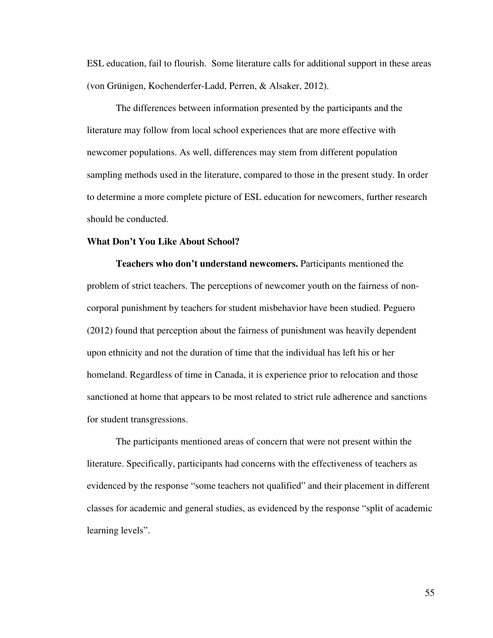ESL education, fail to flourish. Some literature calls for additional support in these areas (von Grünigen, Kochenderfer-Ladd, Perren, & Alsaker, 2012).

The differences between information presented by the participants and the literature may follow from local school experiences that are more effective with newcomer populations. As well, differences may stem from different population sampling methods used in the literature, compared to those in the present study. In order to determine a more complete picture of ESL education for newcomers, further research should be conducted.

### **What Don't You Like About School?**

 **Teachers who don't understand newcomers.** Participants mentioned the problem of strict teachers. The perceptions of newcomer youth on the fairness of noncorporal punishment by teachers for student misbehavior have been studied. Peguero (2012) found that perception about the fairness of punishment was heavily dependent upon ethnicity and not the duration of time that the individual has left his or her homeland. Regardless of time in Canada, it is experience prior to relocation and those sanctioned at home that appears to be most related to strict rule adherence and sanctions for student transgressions.

The participants mentioned areas of concern that were not present within the literature. Specifically, participants had concerns with the effectiveness of teachers as evidenced by the response "some teachers not qualified" and their placement in different classes for academic and general studies, as evidenced by the response "split of academic learning levels".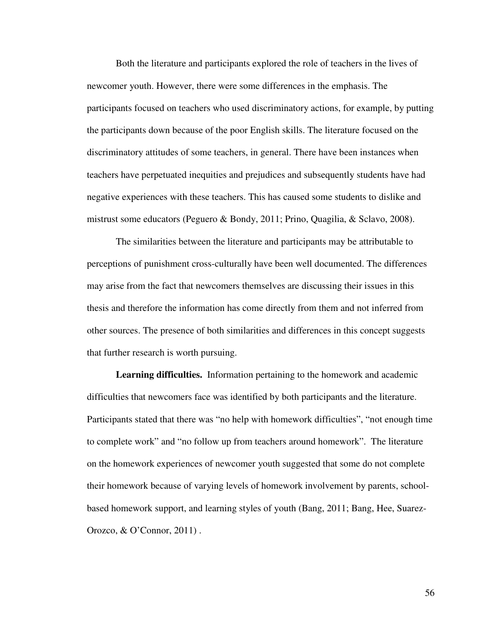Both the literature and participants explored the role of teachers in the lives of newcomer youth. However, there were some differences in the emphasis. The participants focused on teachers who used discriminatory actions, for example, by putting the participants down because of the poor English skills. The literature focused on the discriminatory attitudes of some teachers, in general. There have been instances when teachers have perpetuated inequities and prejudices and subsequently students have had negative experiences with these teachers. This has caused some students to dislike and mistrust some educators (Peguero & Bondy, 2011; Prino, Quagilia, & Sclavo, 2008).

The similarities between the literature and participants may be attributable to perceptions of punishment cross-culturally have been well documented. The differences may arise from the fact that newcomers themselves are discussing their issues in this thesis and therefore the information has come directly from them and not inferred from other sources. The presence of both similarities and differences in this concept suggests that further research is worth pursuing.

 **Learning difficulties.** Information pertaining to the homework and academic difficulties that newcomers face was identified by both participants and the literature. Participants stated that there was "no help with homework difficulties", "not enough time to complete work" and "no follow up from teachers around homework".The literature on the homework experiences of newcomer youth suggested that some do not complete their homework because of varying levels of homework involvement by parents, schoolbased homework support, and learning styles of youth (Bang, 2011; Bang, Hee, Suarez-Orozco, & O'Connor, 2011) .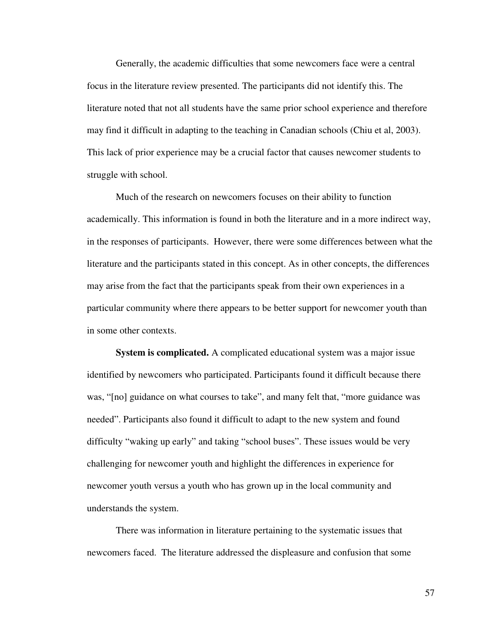Generally, the academic difficulties that some newcomers face were a central focus in the literature review presented. The participants did not identify this. The literature noted that not all students have the same prior school experience and therefore may find it difficult in adapting to the teaching in Canadian schools (Chiu et al, 2003). This lack of prior experience may be a crucial factor that causes newcomer students to struggle with school.

Much of the research on newcomers focuses on their ability to function academically. This information is found in both the literature and in a more indirect way, in the responses of participants. However, there were some differences between what the literature and the participants stated in this concept. As in other concepts, the differences may arise from the fact that the participants speak from their own experiences in a particular community where there appears to be better support for newcomer youth than in some other contexts.

**System is complicated.** A complicated educational system was a major issue identified by newcomers who participated. Participants found it difficult because there was, "[no] guidance on what courses to take", and many felt that, "more guidance was needed". Participants also found it difficult to adapt to the new system and found difficulty "waking up early" and taking "school buses". These issues would be very challenging for newcomer youth and highlight the differences in experience for newcomer youth versus a youth who has grown up in the local community and understands the system.

There was information in literature pertaining to the systematic issues that newcomers faced. The literature addressed the displeasure and confusion that some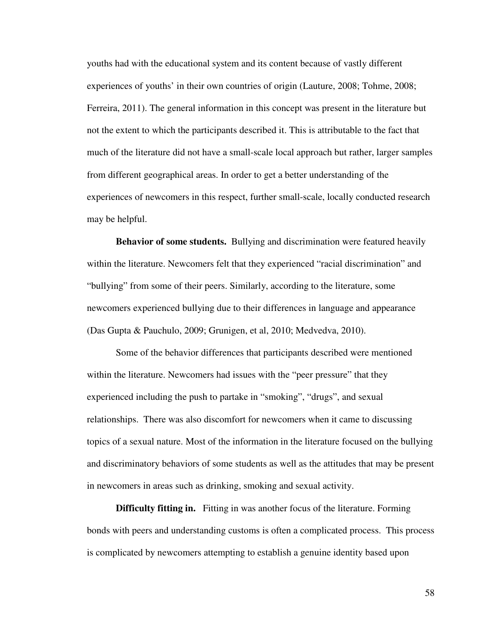youths had with the educational system and its content because of vastly different experiences of youths' in their own countries of origin (Lauture, 2008; Tohme, 2008; Ferreira, 2011). The general information in this concept was present in the literature but not the extent to which the participants described it. This is attributable to the fact that much of the literature did not have a small-scale local approach but rather, larger samples from different geographical areas. In order to get a better understanding of the experiences of newcomers in this respect, further small-scale, locally conducted research may be helpful.

 **Behavior of some students.** Bullying and discrimination were featured heavily within the literature. Newcomers felt that they experienced "racial discrimination" and "bullying" from some of their peers. Similarly, according to the literature, some newcomers experienced bullying due to their differences in language and appearance (Das Gupta & Pauchulo, 2009; Grunigen, et al, 2010; Medvedva, 2010).

Some of the behavior differences that participants described were mentioned within the literature. Newcomers had issues with the "peer pressure" that they experienced including the push to partake in "smoking", "drugs", and sexual relationships. There was also discomfort for newcomers when it came to discussing topics of a sexual nature. Most of the information in the literature focused on the bullying and discriminatory behaviors of some students as well as the attitudes that may be present in newcomers in areas such as drinking, smoking and sexual activity.

 **Difficulty fitting in.** Fitting in was another focus of the literature. Forming bonds with peers and understanding customs is often a complicated process. This process is complicated by newcomers attempting to establish a genuine identity based upon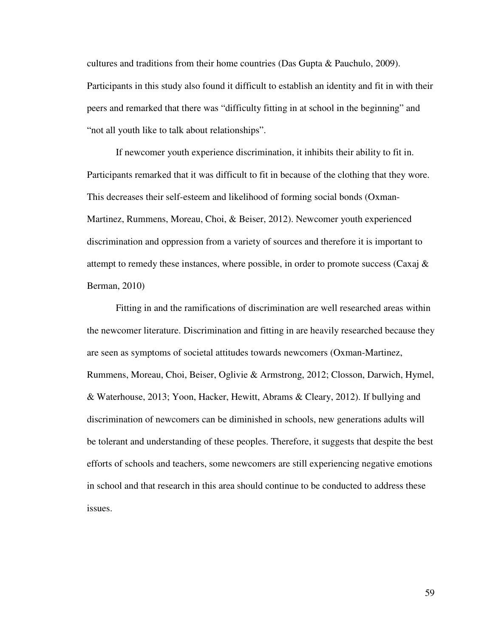cultures and traditions from their home countries (Das Gupta & Pauchulo, 2009). Participants in this study also found it difficult to establish an identity and fit in with their peers and remarked that there was "difficulty fitting in at school in the beginning" and "not all youth like to talk about relationships".

If newcomer youth experience discrimination, it inhibits their ability to fit in. Participants remarked that it was difficult to fit in because of the clothing that they wore. This decreases their self-esteem and likelihood of forming social bonds (Oxman-Martinez, Rummens, Moreau, Choi, & Beiser, 2012). Newcomer youth experienced discrimination and oppression from a variety of sources and therefore it is important to attempt to remedy these instances, where possible, in order to promote success (Caxaj  $\&$ Berman, 2010)

Fitting in and the ramifications of discrimination are well researched areas within the newcomer literature. Discrimination and fitting in are heavily researched because they are seen as symptoms of societal attitudes towards newcomers (Oxman-Martinez, Rummens, Moreau, Choi, Beiser, Oglivie & Armstrong, 2012; Closson, Darwich, Hymel, & Waterhouse, 2013; Yoon, Hacker, Hewitt, Abrams & Cleary, 2012). If bullying and discrimination of newcomers can be diminished in schools, new generations adults will be tolerant and understanding of these peoples. Therefore, it suggests that despite the best efforts of schools and teachers, some newcomers are still experiencing negative emotions in school and that research in this area should continue to be conducted to address these issues.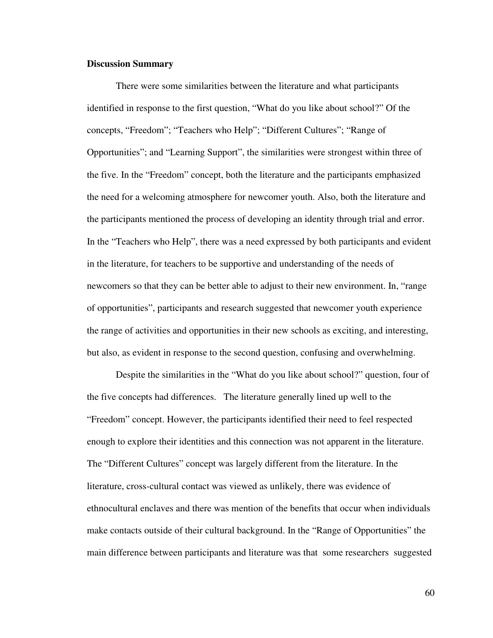# **Discussion Summary**

 There were some similarities between the literature and what participants identified in response to the first question, "What do you like about school?" Of the concepts, "Freedom"; "Teachers who Help"; "Different Cultures"; "Range of Opportunities"; and "Learning Support", the similarities were strongest within three of the five. In the "Freedom" concept, both the literature and the participants emphasized the need for a welcoming atmosphere for newcomer youth. Also, both the literature and the participants mentioned the process of developing an identity through trial and error. In the "Teachers who Help", there was a need expressed by both participants and evident in the literature, for teachers to be supportive and understanding of the needs of newcomers so that they can be better able to adjust to their new environment. In, "range of opportunities", participants and research suggested that newcomer youth experience the range of activities and opportunities in their new schools as exciting, and interesting, but also, as evident in response to the second question, confusing and overwhelming.

Despite the similarities in the "What do you like about school?" question, four of the five concepts had differences. The literature generally lined up well to the "Freedom" concept. However, the participants identified their need to feel respected enough to explore their identities and this connection was not apparent in the literature. The "Different Cultures" concept was largely different from the literature. In the literature, cross-cultural contact was viewed as unlikely, there was evidence of ethnocultural enclaves and there was mention of the benefits that occur when individuals make contacts outside of their cultural background. In the "Range of Opportunities" the main difference between participants and literature was that some researchers suggested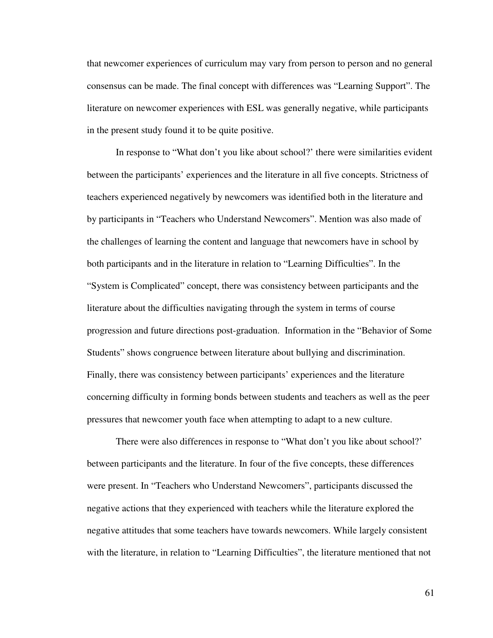that newcomer experiences of curriculum may vary from person to person and no general consensus can be made. The final concept with differences was "Learning Support". The literature on newcomer experiences with ESL was generally negative, while participants in the present study found it to be quite positive.

In response to "What don't you like about school?' there were similarities evident between the participants' experiences and the literature in all five concepts. Strictness of teachers experienced negatively by newcomers was identified both in the literature and by participants in "Teachers who Understand Newcomers". Mention was also made of the challenges of learning the content and language that newcomers have in school by both participants and in the literature in relation to "Learning Difficulties". In the "System is Complicated" concept, there was consistency between participants and the literature about the difficulties navigating through the system in terms of course progression and future directions post-graduation. Information in the "Behavior of Some Students" shows congruence between literature about bullying and discrimination. Finally, there was consistency between participants' experiences and the literature concerning difficulty in forming bonds between students and teachers as well as the peer pressures that newcomer youth face when attempting to adapt to a new culture.

There were also differences in response to "What don't you like about school?' between participants and the literature. In four of the five concepts, these differences were present. In "Teachers who Understand Newcomers", participants discussed the negative actions that they experienced with teachers while the literature explored the negative attitudes that some teachers have towards newcomers. While largely consistent with the literature, in relation to "Learning Difficulties", the literature mentioned that not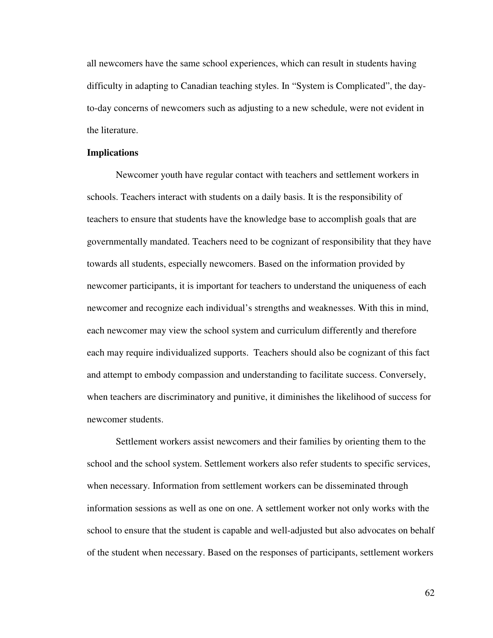all newcomers have the same school experiences, which can result in students having difficulty in adapting to Canadian teaching styles. In "System is Complicated", the dayto-day concerns of newcomers such as adjusting to a new schedule, were not evident in the literature.

#### **Implications**

Newcomer youth have regular contact with teachers and settlement workers in schools. Teachers interact with students on a daily basis. It is the responsibility of teachers to ensure that students have the knowledge base to accomplish goals that are governmentally mandated. Teachers need to be cognizant of responsibility that they have towards all students, especially newcomers. Based on the information provided by newcomer participants, it is important for teachers to understand the uniqueness of each newcomer and recognize each individual's strengths and weaknesses. With this in mind, each newcomer may view the school system and curriculum differently and therefore each may require individualized supports. Teachers should also be cognizant of this fact and attempt to embody compassion and understanding to facilitate success. Conversely, when teachers are discriminatory and punitive, it diminishes the likelihood of success for newcomer students.

Settlement workers assist newcomers and their families by orienting them to the school and the school system. Settlement workers also refer students to specific services, when necessary. Information from settlement workers can be disseminated through information sessions as well as one on one. A settlement worker not only works with the school to ensure that the student is capable and well-adjusted but also advocates on behalf of the student when necessary. Based on the responses of participants, settlement workers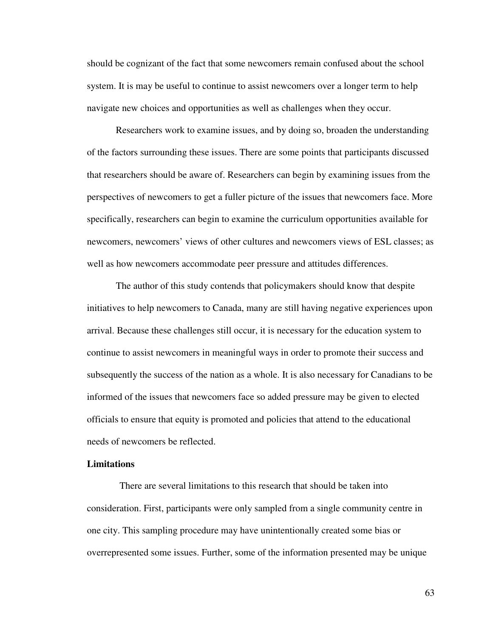should be cognizant of the fact that some newcomers remain confused about the school system. It is may be useful to continue to assist newcomers over a longer term to help navigate new choices and opportunities as well as challenges when they occur.

Researchers work to examine issues, and by doing so, broaden the understanding of the factors surrounding these issues. There are some points that participants discussed that researchers should be aware of. Researchers can begin by examining issues from the perspectives of newcomers to get a fuller picture of the issues that newcomers face. More specifically, researchers can begin to examine the curriculum opportunities available for newcomers, newcomers' views of other cultures and newcomers views of ESL classes; as well as how newcomers accommodate peer pressure and attitudes differences.

The author of this study contends that policymakers should know that despite initiatives to help newcomers to Canada, many are still having negative experiences upon arrival. Because these challenges still occur, it is necessary for the education system to continue to assist newcomers in meaningful ways in order to promote their success and subsequently the success of the nation as a whole. It is also necessary for Canadians to be informed of the issues that newcomers face so added pressure may be given to elected officials to ensure that equity is promoted and policies that attend to the educational needs of newcomers be reflected.

# **Limitations**

 There are several limitations to this research that should be taken into consideration. First, participants were only sampled from a single community centre in one city. This sampling procedure may have unintentionally created some bias or overrepresented some issues. Further, some of the information presented may be unique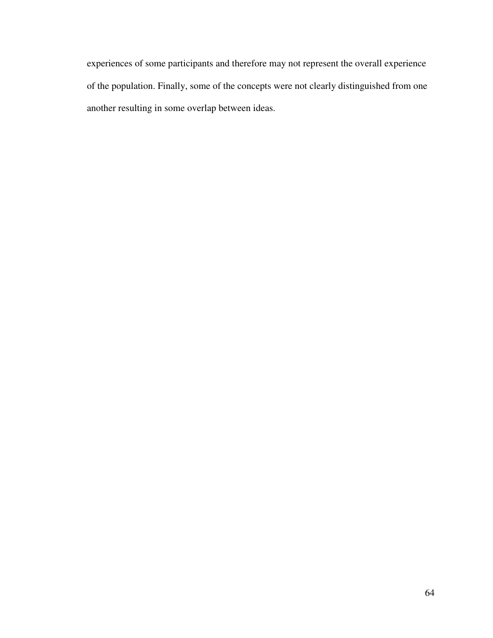experiences of some participants and therefore may not represent the overall experience of the population. Finally, some of the concepts were not clearly distinguished from one another resulting in some overlap between ideas.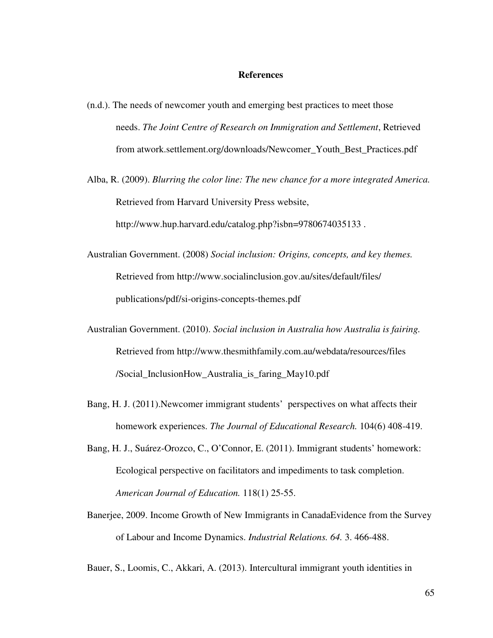# **References**

- (n.d.). The needs of newcomer youth and emerging best practices to meet those needs. *The Joint Centre of Research on Immigration and Settlement*, Retrieved from atwork.settlement.org/downloads/Newcomer\_Youth\_Best\_Practices.pdf
- Alba, R. (2009). *Blurring the color line: The new chance for a more integrated America.*  Retrieved from Harvard University Press website,

http://www.hup.harvard.edu/catalog.php?isbn=9780674035133.

- Australian Government. (2008) *Social inclusion: Origins, concepts, and key themes.*  Retrieved from http://www.socialinclusion.gov.au/sites/default/files/ publications/pdf/si-origins-concepts-themes.pdf
- Australian Government. (2010). *Social inclusion in Australia how Australia is fairing.*  Retrieved from http://www.thesmithfamily.com.au/webdata/resources/files /Social\_InclusionHow\_Australia\_is\_faring\_May10.pdf
- Bang, H. J. (2011).Newcomer immigrant students' perspectives on what affects their homework experiences. *The Journal of Educational Research.* 104(6) 408-419.
- Bang, H. J., Suárez-Orozco, C., O'Connor, E. (2011). Immigrant students' homework: Ecological perspective on facilitators and impediments to task completion. *American Journal of Education.* 118(1) 25-55.
- Banerjee, 2009. Income Growth of New Immigrants in CanadaEvidence from the Survey of Labour and Income Dynamics. *Industrial Relations. 64.* 3. 466-488.

Bauer, S., Loomis, C., Akkari, A. (2013). Intercultural immigrant youth identities in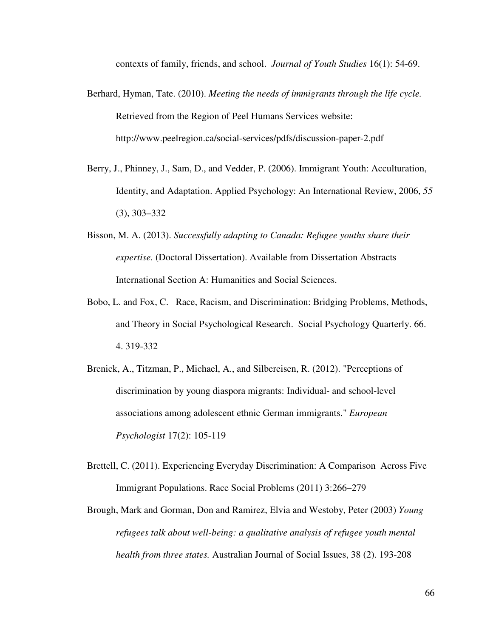contexts of family, friends, and school. *Journal of Youth Studies* 16(1): 54-69.

- Berhard, Hyman, Tate. (2010). *Meeting the needs of immigrants through the life cycle.*  Retrieved from the Region of Peel Humans Services website: http://www.peelregion.ca/social-services/pdfs/discussion-paper-2.pdf
- Berry, J., Phinney, J., Sam, D., and Vedder, P. (2006). Immigrant Youth: Acculturation, Identity, and Adaptation. Applied Psychology: An International Review, 2006, *55*  (3), 303–332
- Bisson, M. A. (2013). *Successfully adapting to Canada: Refugee youths share their expertise.* (Doctoral Dissertation). Available from Dissertation Abstracts International Section A: Humanities and Social Sciences.
- Bobo, L. and Fox, C. Race, Racism, and Discrimination: Bridging Problems, Methods, and Theory in Social Psychological Research. Social Psychology Quarterly. 66. 4. 319-332
- Brenick, A., Titzman, P., Michael, A., and Silbereisen, R. (2012). "Perceptions of discrimination by young diaspora migrants: Individual- and school-level associations among adolescent ethnic German immigrants." *European Psychologist* 17(2): 105-119
- Brettell, C. (2011). Experiencing Everyday Discrimination: A Comparison Across Five Immigrant Populations. Race Social Problems (2011) 3:266–279
- Brough, Mark and Gorman, Don and Ramirez, Elvia and Westoby, Peter (2003) *Young refugees talk about well-being: a qualitative analysis of refugee youth mental health from three states.* Australian Journal of Social Issues, 38 (2). 193-208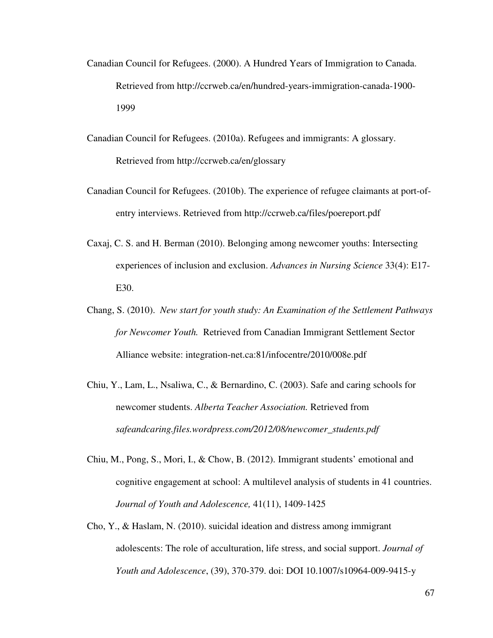- Canadian Council for Refugees. (2000). A Hundred Years of Immigration to Canada. Retrieved from http://ccrweb.ca/en/hundred-years-immigration-canada-1900- 1999
- Canadian Council for Refugees. (2010a). Refugees and immigrants: A glossary. Retrieved from http://ccrweb.ca/en/glossary
- Canadian Council for Refugees. (2010b). The experience of refugee claimants at port-ofentry interviews. Retrieved from http://ccrweb.ca/files/poereport.pdf
- Caxaj, C. S. and H. Berman (2010). Belonging among newcomer youths: Intersecting experiences of inclusion and exclusion. *Advances in Nursing Science* 33(4): E17- E30.
- Chang, S. (2010). *New start for youth study: An Examination of the Settlement Pathways for Newcomer Youth.* Retrieved from Canadian Immigrant Settlement Sector Alliance website: integration-net.ca:81/infocentre/2010/008e.pdf
- Chiu, Y., Lam, L., Nsaliwa, C., & Bernardino, C. (2003). Safe and caring schools for newcomer students. *Alberta Teacher Association.* Retrieved from *safeandcaring.files.wordpress.com/2012/08/newcomer\_students.pdf*
- Chiu, M., Pong, S., Mori, I., & Chow, B. (2012). Immigrant students' emotional and cognitive engagement at school: A multilevel analysis of students in 41 countries. *Journal of Youth and Adolescence,* 41(11), 1409-1425
- Cho, Y., & Haslam, N. (2010). suicidal ideation and distress among immigrant adolescents: The role of acculturation, life stress, and social support. *Journal of Youth and Adolescence*, (39), 370-379. doi: DOI 10.1007/s10964-009-9415-y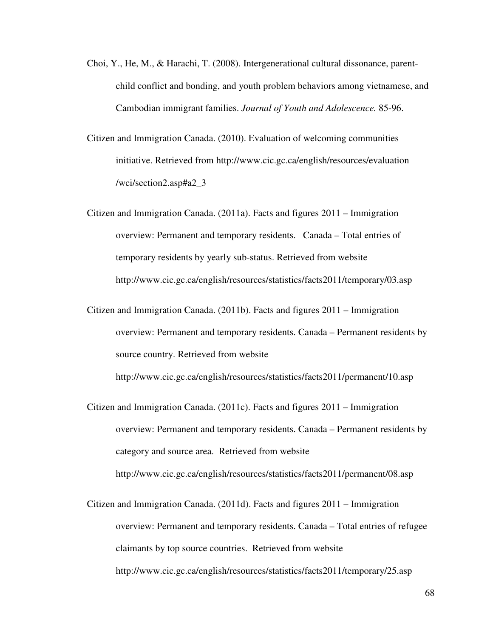- Choi, Y., He, M., & Harachi, T. (2008). Intergenerational cultural dissonance, parentchild conflict and bonding, and youth problem behaviors among vietnamese, and Cambodian immigrant families. *Journal of Youth and Adolescence.* 85-96.
- Citizen and Immigration Canada. (2010). Evaluation of welcoming communities initiative. Retrieved from http://www.cic.gc.ca/english/resources/evaluation /wci/section2.asp#a2\_3
- Citizen and Immigration Canada. (2011a). Facts and figures 2011 Immigration overview: Permanent and temporary residents. Canada – Total entries of temporary residents by yearly sub-status. Retrieved from website http://www.cic.gc.ca/english/resources/statistics/facts2011/temporary/03.asp
- Citizen and Immigration Canada. (2011b). Facts and figures 2011 Immigration overview: Permanent and temporary residents. Canada – Permanent residents by source country. Retrieved from website

http://www.cic.gc.ca/english/resources/statistics/facts2011/permanent/10.asp

Citizen and Immigration Canada. (2011c). Facts and figures 2011 – Immigration overview: Permanent and temporary residents. Canada – Permanent residents by category and source area. Retrieved from website

http://www.cic.gc.ca/english/resources/statistics/facts2011/permanent/08.asp

Citizen and Immigration Canada. (2011d). Facts and figures 2011 – Immigration overview: Permanent and temporary residents. Canada – Total entries of refugee claimants by top source countries. Retrieved from website http://www.cic.gc.ca/english/resources/statistics/facts2011/temporary/25.asp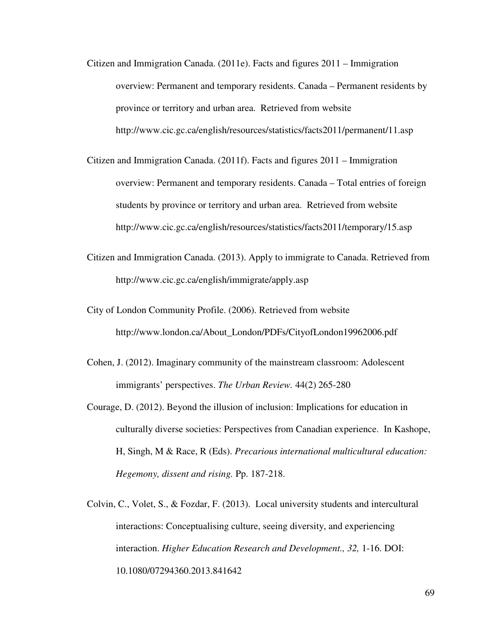- Citizen and Immigration Canada. (2011e). Facts and figures 2011 Immigration overview: Permanent and temporary residents. Canada – Permanent residents by province or territory and urban area. Retrieved from website http://www.cic.gc.ca/english/resources/statistics/facts2011/permanent/11.asp
- Citizen and Immigration Canada. (2011f). Facts and figures 2011 Immigration overview: Permanent and temporary residents. Canada – Total entries of foreign students by province or territory and urban area. Retrieved from website http://www.cic.gc.ca/english/resources/statistics/facts2011/temporary/15.asp
- Citizen and Immigration Canada. (2013). Apply to immigrate to Canada. Retrieved from http://www.cic.gc.ca/english/immigrate/apply.asp
- City of London Community Profile. (2006). Retrieved from website http://www.london.ca/About\_London/PDFs/CityofLondon19962006.pdf
- Cohen, J. (2012). Imaginary community of the mainstream classroom: Adolescent immigrants' perspectives. *The Urban Review.* 44(2) 265-280
- Courage, D. (2012). Beyond the illusion of inclusion: Implications for education in culturally diverse societies: Perspectives from Canadian experience. In Kashope, H, Singh, M & Race, R (Eds). *Precarious international multicultural education: Hegemony, dissent and rising.* Pp. 187-218.
- Colvin, C., Volet, S., & Fozdar, F. (2013). Local university students and intercultural interactions: Conceptualising culture, seeing diversity, and experiencing interaction. *Higher Education Research and Development., 32,* 1-16. DOI: 10.1080/07294360.2013.841642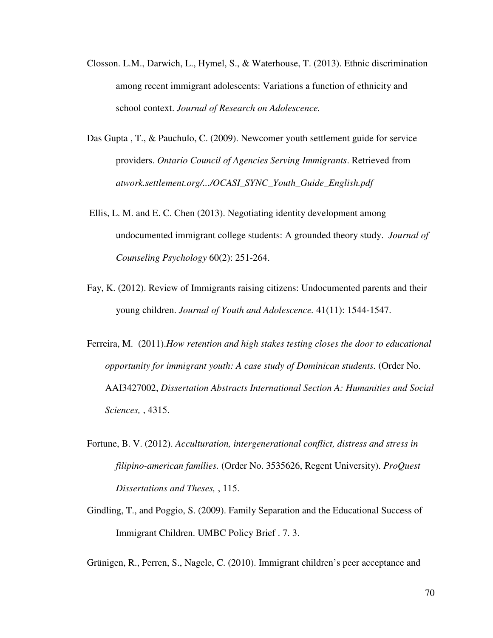- Closson. L.M., Darwich, L., Hymel, S., & Waterhouse, T. (2013). Ethnic discrimination among recent immigrant adolescents: Variations a function of ethnicity and school context. *Journal of Research on Adolescence.*
- Das Gupta , T., & Pauchulo, C. (2009). Newcomer youth settlement guide for service providers. *Ontario Council of Agencies Serving Immigrants*. Retrieved from *atwork.settlement.org/.../OCASI\_SYNC\_Youth\_Guide\_English.pdf*
- Ellis, L. M. and E. C. Chen (2013). Negotiating identity development among undocumented immigrant college students: A grounded theory study. *Journal of Counseling Psychology* 60(2): 251-264.
- Fay, K. (2012). Review of Immigrants raising citizens: Undocumented parents and their young children. *Journal of Youth and Adolescence.* 41(11): 1544-1547.
- Ferreira, M. (2011).*How retention and high stakes testing closes the door to educational opportunity for immigrant youth: A case study of Dominican students.* (Order No. AAI3427002, *Dissertation Abstracts International Section A: Humanities and Social Sciences,* , 4315.
- Fortune, B. V. (2012). *Acculturation, intergenerational conflict, distress and stress in filipino-american families.* (Order No. 3535626, Regent University). *ProQuest Dissertations and Theses,* , 115.
- Gindling, T., and Poggio, S. (2009). Family Separation and the Educational Success of Immigrant Children. UMBC Policy Brief . 7. 3.

Grünigen, R., Perren, S., Nagele, C. (2010). Immigrant children's peer acceptance and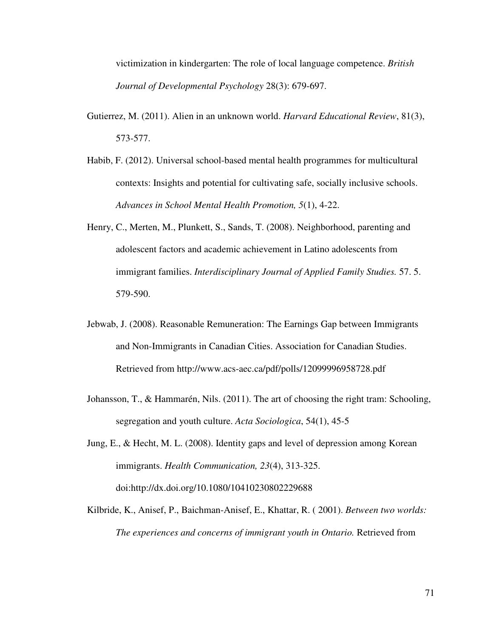victimization in kindergarten: The role of local language competence. *British Journal of Developmental Psychology* 28(3): 679-697.

- Gutierrez, M. (2011). Alien in an unknown world. *Harvard Educational Review*, 81(3), 573-577.
- Habib, F. (2012). Universal school-based mental health programmes for multicultural contexts: Insights and potential for cultivating safe, socially inclusive schools. *Advances in School Mental Health Promotion, 5*(1), 4-22.
- Henry, C., Merten, M., Plunkett, S., Sands, T. (2008). Neighborhood, parenting and adolescent factors and academic achievement in Latino adolescents from immigrant families. *Interdisciplinary Journal of Applied Family Studies.* 57. 5. 579-590.
- Jebwab, J. (2008). Reasonable Remuneration: The Earnings Gap between Immigrants and Non-Immigrants in Canadian Cities. Association for Canadian Studies. Retrieved from http://www.acs-aec.ca/pdf/polls/12099996958728.pdf
- Johansson, T., & Hammarén, Nils. (2011). The art of choosing the right tram: Schooling, segregation and youth culture. *Acta Sociologica*, 54(1), 45-5
- Jung, E., & Hecht, M. L. (2008). Identity gaps and level of depression among Korean immigrants. *Health Communication, 23*(4), 313-325. doi:http://dx.doi.org/10.1080/10410230802229688
- Kilbride, K., Anisef, P., Baichman-Anisef, E., Khattar, R. ( 2001). *Between two worlds: The experiences and concerns of immigrant youth in Ontario.* Retrieved from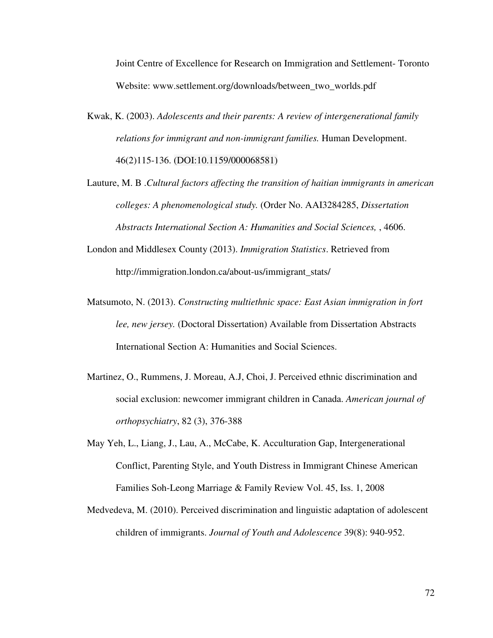Joint Centre of Excellence for Research on Immigration and Settlement- Toronto Website: www.settlement.org/downloads/between\_two\_worlds.pdf

- Kwak, K. (2003). *Adolescents and their parents: A review of intergenerational family relations for immigrant and non-immigrant families.* Human Development. 46(2)115-136. (DOI:10.1159/000068581)
- Lauture, M. B .*Cultural factors affecting the transition of haitian immigrants in american colleges: A phenomenological study.* (Order No. AAI3284285, *Dissertation Abstracts International Section A: Humanities and Social Sciences,* , 4606.
- London and Middlesex County (2013). *Immigration Statistics*. Retrieved from http://immigration.london.ca/about-us/immigrant\_stats/
- Matsumoto, N. (2013). *Constructing multiethnic space: East Asian immigration in fort lee, new jersey.* (Doctoral Dissertation) Available from Dissertation Abstracts International Section A: Humanities and Social Sciences.
- Martinez, O., Rummens, J. Moreau, A.J, Choi, J. Perceived ethnic discrimination and social exclusion: newcomer immigrant children in Canada. *American journal of orthopsychiatry*, 82 (3), 376-388
- May Yeh, L., Liang, J., Lau, A., McCabe, K. Acculturation Gap, Intergenerational Conflict, Parenting Style, and Youth Distress in Immigrant Chinese American Families Soh-Leong Marriage & Family Review Vol. 45, Iss. 1, 2008
- Medvedeva, M. (2010). Perceived discrimination and linguistic adaptation of adolescent children of immigrants. *Journal of Youth and Adolescence* 39(8): 940-952.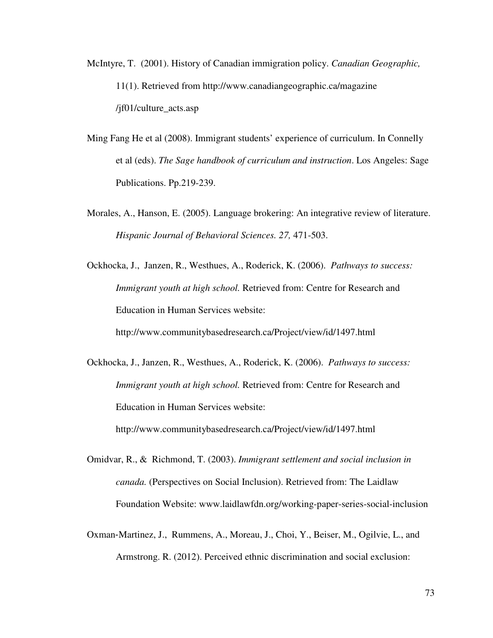- McIntyre, T. (2001). History of Canadian immigration policy. *Canadian Geographic,*  11(1). Retrieved from http://www.canadiangeographic.ca/magazine /jf01/culture\_acts.asp
- Ming Fang He et al (2008). Immigrant students' experience of curriculum. In Connelly et al (eds). *The Sage handbook of curriculum and instruction*. Los Angeles: Sage Publications. Pp.219-239.
- Morales, A., Hanson, E. (2005). Language brokering: An integrative review of literature. *Hispanic Journal of Behavioral Sciences. 27,* 471-503.
- Ockhocka, J., Janzen, R., Westhues, A., Roderick, K. (2006). *Pathways to success: Immigrant youth at high school.* Retrieved from: Centre for Research and Education in Human Services website: http://www.communitybasedresearch.ca/Project/view/id/1497.html
- Ockhocka, J., Janzen, R., Westhues, A., Roderick, K. (2006). *Pathways to success: Immigrant youth at high school.* Retrieved from: Centre for Research and Education in Human Services website: http://www.communitybasedresearch.ca/Project/view/id/1497.html
- Omidvar, R., & Richmond, T. (2003). *Immigrant settlement and social inclusion in canada.* (Perspectives on Social Inclusion). Retrieved from: The Laidlaw Foundation Website: www.laidlawfdn.org/working-paper-series-social-inclusion
- Oxman‐Martinez, J., Rummens, A., Moreau, J., Choi, Y., Beiser, M., Ogilvie, L., and Armstrong. R. (2012). Perceived ethnic discrimination and social exclusion: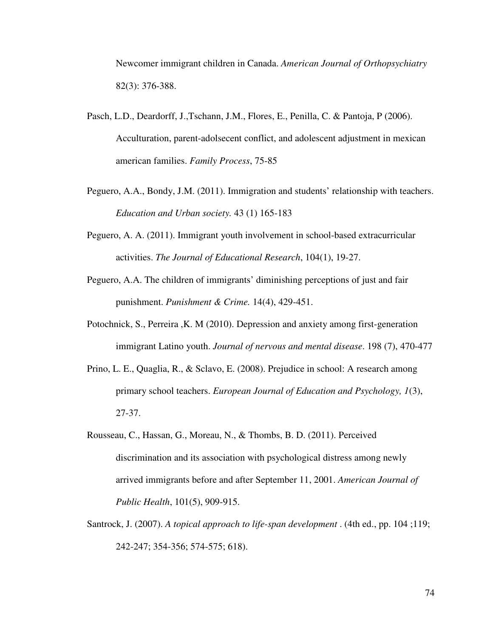Newcomer immigrant children in Canada. *American Journal of Orthopsychiatry*  82(3): 376-388.

- Pasch, L.D., Deardorff, J.,Tschann, J.M., Flores, E., Penilla, C. & Pantoja, P (2006). Acculturation, parent-adolsecent conflict, and adolescent adjustment in mexican american families. *Family Process*, 75-85
- Peguero, A.A., Bondy, J.M. (2011). Immigration and students' relationship with teachers. *Education and Urban society.* 43 (1) 165-183
- Peguero, A. A. (2011). Immigrant youth involvement in school-based extracurricular activities. *The Journal of Educational Research*, 104(1), 19-27.
- Peguero, A.A. The children of immigrants' diminishing perceptions of just and fair punishment. *Punishment & Crime.* 14(4), 429-451.
- Potochnick, S., Perreira ,K. M (2010). Depression and anxiety among first-generation immigrant Latino youth. *Journal of nervous and mental disease*. 198 (7), 470-477
- Prino, L. E., Quaglia, R., & Sclavo, E. (2008). Prejudice in school: A research among primary school teachers. *European Journal of Education and Psychology, 1*(3), 27-37.
- Rousseau, C., Hassan, G., Moreau, N., & Thombs, B. D. (2011). Perceived discrimination and its association with psychological distress among newly arrived immigrants before and after September 11, 2001. *American Journal of Public Health*, 101(5), 909-915.
- Santrock, J. (2007). *A topical approach to life-span development* . (4th ed., pp. 104 ;119; 242-247; 354-356; 574-575; 618).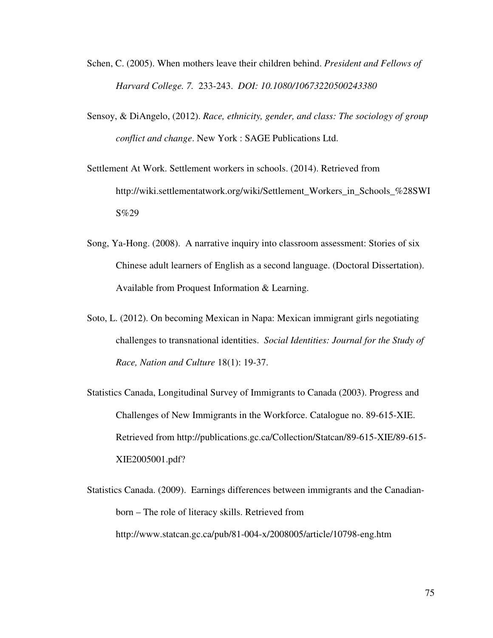- Schen, C. (2005). When mothers leave their children behind. *President and Fellows of Harvard College. 7.* 233-243. *DOI: 10.1080/10673220500243380*
- Sensoy, & DiAngelo, (2012). *Race, ethnicity, gender, and class: The sociology of group conflict and change*. New York : SAGE Publications Ltd.
- Settlement At Work. Settlement workers in schools. (2014). Retrieved from http://wiki.settlementatwork.org/wiki/Settlement\_Workers\_in\_Schools\_%28SWI S%29
- Song, Ya-Hong. (2008). A narrative inquiry into classroom assessment: Stories of six Chinese adult learners of English as a second language. (Doctoral Dissertation). Available from Proquest Information & Learning.
- Soto, L. (2012). On becoming Mexican in Napa: Mexican immigrant girls negotiating challenges to transnational identities. *Social Identities: Journal for the Study of Race, Nation and Culture* 18(1): 19-37.
- Statistics Canada, Longitudinal Survey of Immigrants to Canada (2003). Progress and Challenges of New Immigrants in the Workforce. Catalogue no. 89-615-XIE. Retrieved from http://publications.gc.ca/Collection/Statcan/89-615-XIE/89-615- XIE2005001.pdf?
- Statistics Canada. (2009). Earnings differences between immigrants and the Canadianborn – The role of literacy skills. Retrieved from http://www.statcan.gc.ca/pub/81-004-x/2008005/article/10798-eng.htm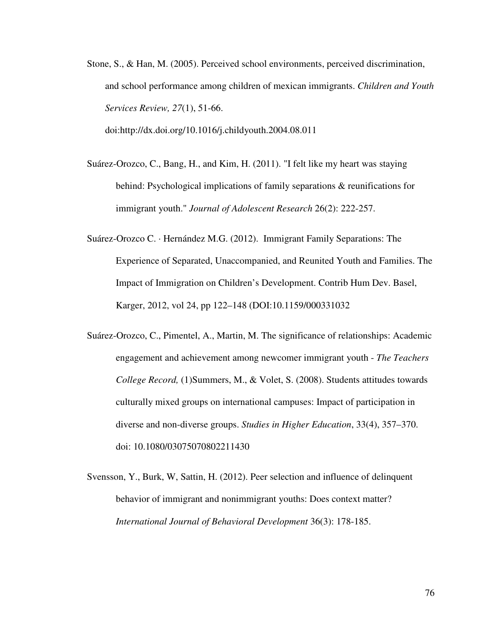- Stone, S., & Han, M. (2005). Perceived school environments, perceived discrimination, and school performance among children of mexican immigrants. *Children and Youth Services Review, 27*(1), 51-66. doi:http://dx.doi.org/10.1016/j.childyouth.2004.08.011
- Suárez-Orozco, C., Bang, H., and Kim, H. (2011). "I felt like my heart was staying behind: Psychological implications of family separations & reunifications for immigrant youth." *Journal of Adolescent Research* 26(2): 222-257.
- Suárez-Orozco C. · Hernández M.G. (2012). Immigrant Family Separations: The Experience of Separated, Unaccompanied, and Reunited Youth and Families. The Impact of Immigration on Children's Development. Contrib Hum Dev. Basel, Karger, 2012, vol 24, pp 122–148 (DOI:10.1159/000331032
- Suárez-Orozco, C., Pimentel, A., Martin, M. The significance of relationships: Academic engagement and achievement among newcomer immigrant youth - *The Teachers College Record,* (1)Summers, M., & Volet, S. (2008). Students attitudes towards culturally mixed groups on international campuses: Impact of participation in diverse and non-diverse groups. *Studies in Higher Education*, 33(4), 357–370. doi: 10.1080/03075070802211430
- Svensson, Y., Burk, W, Sattin, H. (2012). Peer selection and influence of delinquent behavior of immigrant and nonimmigrant youths: Does context matter? *International Journal of Behavioral Development* 36(3): 178-185.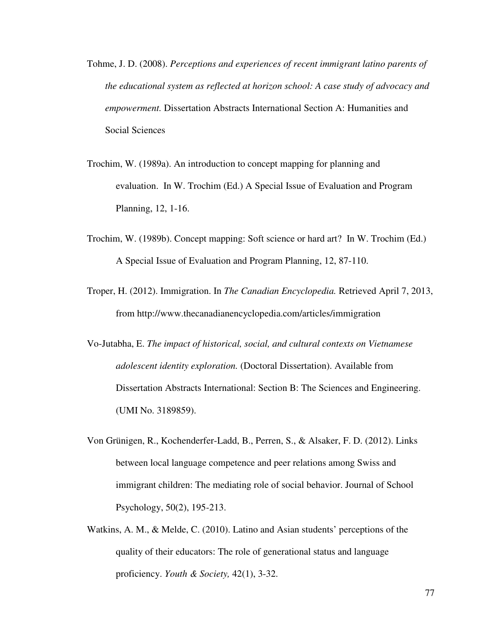- Tohme, J. D. (2008). *Perceptions and experiences of recent immigrant latino parents of the educational system as reflected at horizon school: A case study of advocacy and empowerment.* Dissertation Abstracts International Section A: Humanities and Social Sciences
- Trochim, W. (1989a). An introduction to concept mapping for planning and evaluation. In W. Trochim (Ed.) A Special Issue of Evaluation and Program Planning, 12, 1-16.
- Trochim, W. (1989b). Concept mapping: Soft science or hard art? In W. Trochim (Ed.) A Special Issue of Evaluation and Program Planning, 12, 87-110.
- Troper, H. (2012). Immigration. In *The Canadian Encyclopedia.* Retrieved April 7, 2013, from http://www.thecanadianencyclopedia.com/articles/immigration
- Vo-Jutabha, E. *The impact of historical, social, and cultural contexts on Vietnamese adolescent identity exploration.* (Doctoral Dissertation). Available from Dissertation Abstracts International: Section B: The Sciences and Engineering. (UMI No. 3189859).
- Von Grünigen, R., Kochenderfer-Ladd, B., Perren, S., & Alsaker, F. D. (2012). Links between local language competence and peer relations among Swiss and immigrant children: The mediating role of social behavior. Journal of School Psychology, 50(2), 195-213.
- Watkins, A. M., & Melde, C. (2010). Latino and Asian students' perceptions of the quality of their educators: The role of generational status and language proficiency. *Youth & Society,* 42(1), 3-32.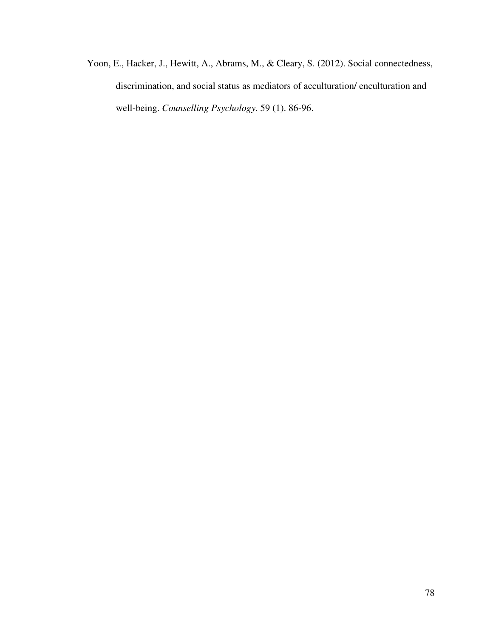Yoon, E., Hacker, J., Hewitt, A., Abrams, M., & Cleary, S. (2012). Social connectedness, discrimination, and social status as mediators of acculturation/ enculturation and well-being. *Counselling Psychology.* 59 (1). 86-96.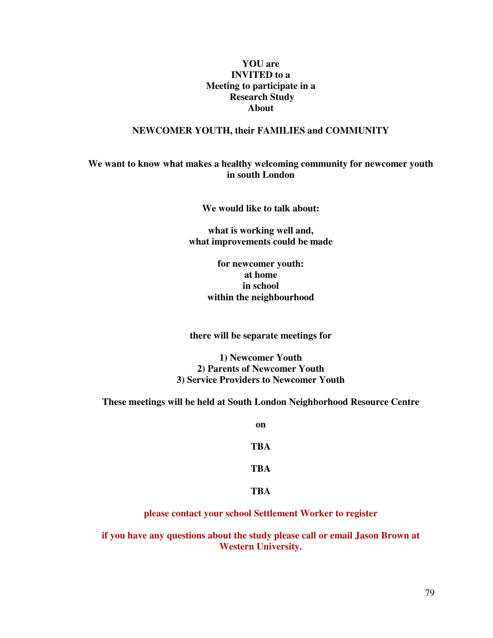### **YOU are INVITED to a Meeting to participate in a Research Study About**

#### **NEWCOMER YOUTH, their FAMILIES and COMMUNITY**

**We want to know what makes a healthy welcoming community for newcomer youth in south London** 

**We would like to talk about:** 

**what is working well and, what improvements could be made** 

> **for newcomer youth: at home in school within the neighbourhood**

**there will be separate meetings for** 

**1) Newcomer Youth 2) Parents of Newcomer Youth 3) Service Providers to Newcomer Youth** 

**These meetings will be held at South London Neighborhood Resource Centre** 

**on TBA TBA TBA** 

**please contact your school Settlement Worker to register** 

**if you have any questions about the study please call or email Jason Brown at Western University.**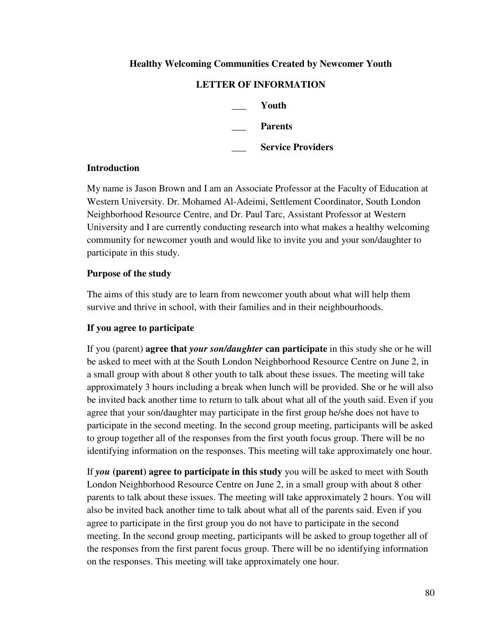## **Healthy Welcoming Communities Created by Newcomer Youth**

## **LETTER OF INFORMATION**

|  | Youth                    |
|--|--------------------------|
|  | <b>Parents</b>           |
|  | <b>Service Providers</b> |

#### **Introduction**

My name is Jason Brown and I am an Associate Professor at the Faculty of Education at Western University. Dr. Mohamed Al-Adeimi, Settlement Coordinator, South London Neighborhood Resource Centre, and Dr. Paul Tarc, Assistant Professor at Western University and I are currently conducting research into what makes a healthy welcoming community for newcomer youth and would like to invite you and your son/daughter to participate in this study.

### **Purpose of the study**

The aims of this study are to learn from newcomer youth about what will help them survive and thrive in school, with their families and in their neighbourhoods.

## **If you agree to participate**

If you (parent) **agree that** *your son/daughter* **can participate** in this study she or he will be asked to meet with at the South London Neighborhood Resource Centre on June 2, in a small group with about 8 other youth to talk about these issues. The meeting will take approximately 3 hours including a break when lunch will be provided. She or he will also be invited back another time to return to talk about what all of the youth said. Even if you agree that your son/daughter may participate in the first group he/she does not have to participate in the second meeting. In the second group meeting, participants will be asked to group together all of the responses from the first youth focus group. There will be no identifying information on the responses. This meeting will take approximately one hour.

If *you* **(parent) agree to participate in this study** you will be asked to meet with South London Neighborhood Resource Centre on June 2, in a small group with about 8 other parents to talk about these issues. The meeting will take approximately 2 hours. You will also be invited back another time to talk about what all of the parents said. Even if you agree to participate in the first group you do not have to participate in the second meeting. In the second group meeting, participants will be asked to group together all of the responses from the first parent focus group. There will be no identifying information on the responses. This meeting will take approximately one hour.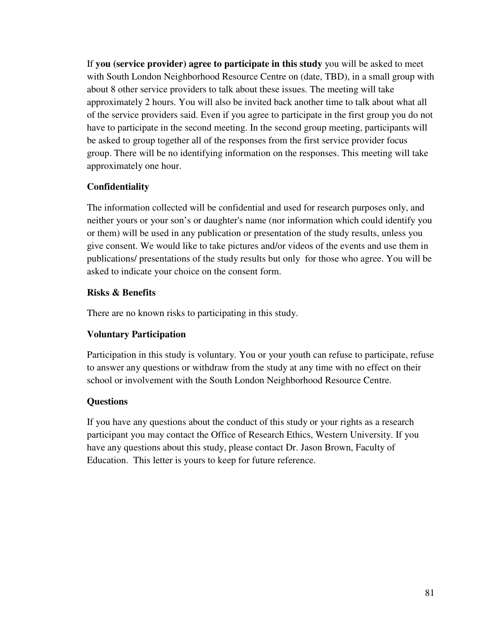If **you (service provider) agree to participate in this study** you will be asked to meet with South London Neighborhood Resource Centre on (date, TBD), in a small group with about 8 other service providers to talk about these issues. The meeting will take approximately 2 hours. You will also be invited back another time to talk about what all of the service providers said. Even if you agree to participate in the first group you do not have to participate in the second meeting. In the second group meeting, participants will be asked to group together all of the responses from the first service provider focus group. There will be no identifying information on the responses. This meeting will take approximately one hour.

## **Confidentiality**

The information collected will be confidential and used for research purposes only, and neither yours or your son's or daughter's name (nor information which could identify you or them) will be used in any publication or presentation of the study results, unless you give consent. We would like to take pictures and/or videos of the events and use them in publications/ presentations of the study results but only for those who agree. You will be asked to indicate your choice on the consent form.

## **Risks & Benefits**

There are no known risks to participating in this study.

## **Voluntary Participation**

Participation in this study is voluntary. You or your youth can refuse to participate, refuse to answer any questions or withdraw from the study at any time with no effect on their school or involvement with the South London Neighborhood Resource Centre.

## **Questions**

If you have any questions about the conduct of this study or your rights as a research participant you may contact the Office of Research Ethics, Western University. If you have any questions about this study, please contact Dr. Jason Brown, Faculty of Education. This letter is yours to keep for future reference.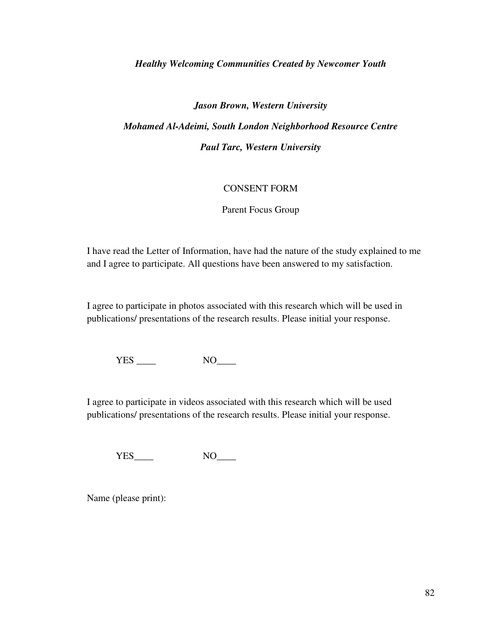#### *Healthy Welcoming Communities Created by Newcomer Youth*

# *Jason Brown, Western University Mohamed Al-Adeimi, South London Neighborhood Resource Centre Paul Tarc, Western University*

#### CONSENT FORM

Parent Focus Group

I have read the Letter of Information, have had the nature of the study explained to me and I agree to participate. All questions have been answered to my satisfaction.

I agree to participate in photos associated with this research which will be used in publications/ presentations of the research results. Please initial your response.

YES NO

I agree to participate in videos associated with this research which will be used publications/ presentations of the research results. Please initial your response.

YES\_\_\_\_ NO\_\_\_\_

Name (please print):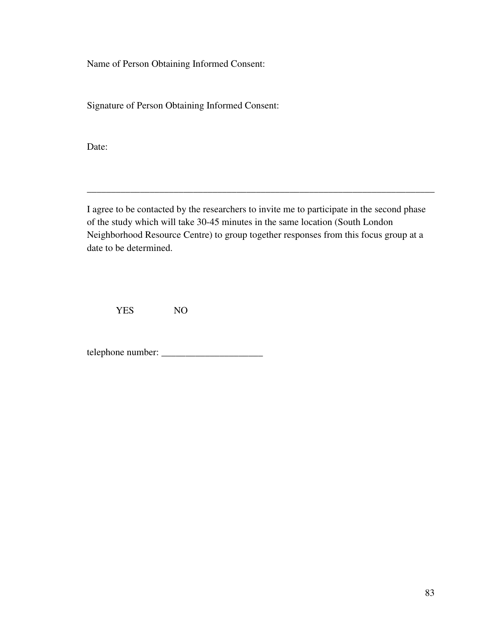Name of Person Obtaining Informed Consent:

Signature of Person Obtaining Informed Consent:

Date:

I agree to be contacted by the researchers to invite me to participate in the second phase of the study which will take 30-45 minutes in the same location (South London Neighborhood Resource Centre) to group together responses from this focus group at a date to be determined.

\_\_\_\_\_\_\_\_\_\_\_\_\_\_\_\_\_\_\_\_\_\_\_\_\_\_\_\_\_\_\_\_\_\_\_\_\_\_\_\_\_\_\_\_\_\_\_\_\_\_\_\_\_\_\_\_\_\_\_\_\_\_\_\_\_\_\_\_\_\_\_\_

YES NO

telephone number: \_\_\_\_\_\_\_\_\_\_\_\_\_\_\_\_\_\_\_\_\_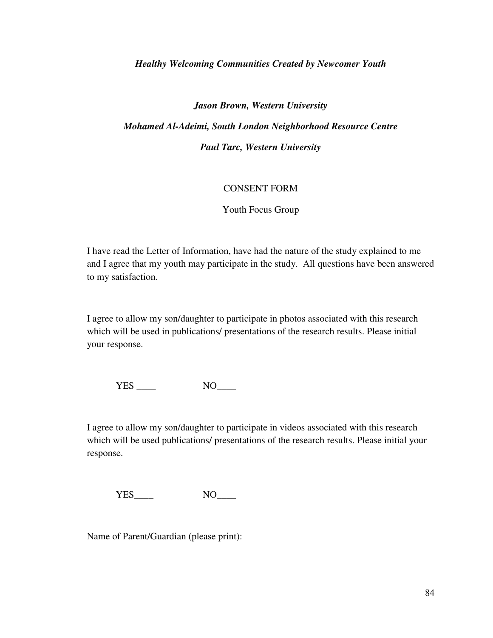#### *Healthy Welcoming Communities Created by Newcomer Youth*

*Jason Brown, Western University* 

*Mohamed Al-Adeimi, South London Neighborhood Resource Centre Paul Tarc, Western University* 

#### CONSENT FORM

Youth Focus Group

I have read the Letter of Information, have had the nature of the study explained to me and I agree that my youth may participate in the study. All questions have been answered to my satisfaction.

I agree to allow my son/daughter to participate in photos associated with this research which will be used in publications/ presentations of the research results. Please initial your response.

YES \_\_\_\_\_ NO\_\_\_\_

I agree to allow my son/daughter to participate in videos associated with this research which will be used publications/ presentations of the research results. Please initial your response.

YES NO

Name of Parent/Guardian (please print):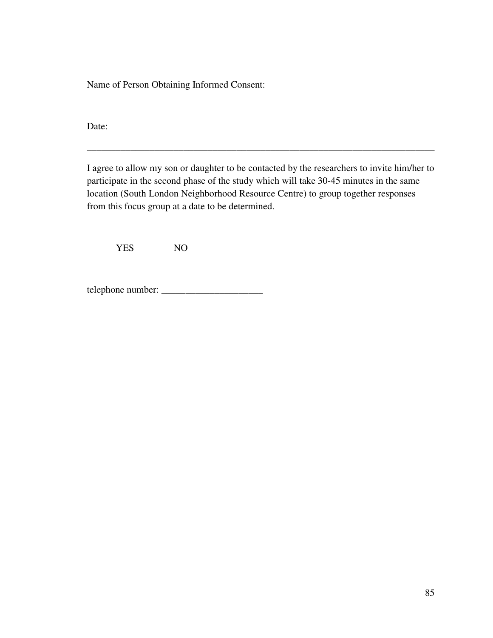Name of Person Obtaining Informed Consent:

Date:

I agree to allow my son or daughter to be contacted by the researchers to invite him/her to participate in the second phase of the study which will take 30-45 minutes in the same location (South London Neighborhood Resource Centre) to group together responses from this focus group at a date to be determined.

\_\_\_\_\_\_\_\_\_\_\_\_\_\_\_\_\_\_\_\_\_\_\_\_\_\_\_\_\_\_\_\_\_\_\_\_\_\_\_\_\_\_\_\_\_\_\_\_\_\_\_\_\_\_\_\_\_\_\_\_\_\_\_\_\_\_\_\_\_\_\_\_

YES NO

telephone number: \_\_\_\_\_\_\_\_\_\_\_\_\_\_\_\_\_\_\_\_\_